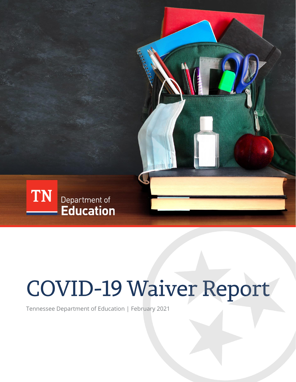

# **COVID-19 Waiver Report**

Tennessee Department of Education | February 2021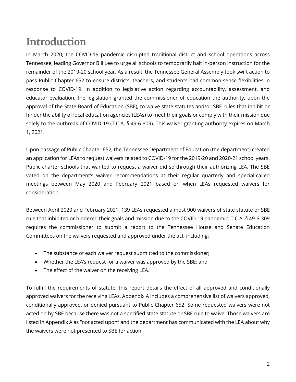## **Introduction**

In March 2020, the COVID-19 pandemic disrupted traditional district and school operations across Tennessee, leading Governor Bill Lee to urge all schools to temporarily halt in-person instruction for the remainder of the 2019-20 school year. As a result, the Tennessee General Assembly took swift action to pass Public Chapter 652 to ensure districts, teachers, and students had common-sense flexibilities in response to COVID-19. In addition to legislative action regarding accountability, assessment, and educator evaluation, the legislation granted the commissioner of education the authority, upon the approval of the State Board of Education (SBE), to waive state statutes and/or SBE rules that inhibit or hinder the ability of local education agencies (LEAs) to meet their goals or comply with their mission due solely to the outbreak of COVID-19 (T.C.A. § 49-6-309). This waiver granting authority expires on March 1, 2021.

Upon passage of Public Chapter 652, the Tennessee Department of Education (the department) created an application for LEAs to request waivers related to COVID-19 for the 2019-20 and 2020-21 school years. Public charter schools that wanted to request a waiver did so through their authorizing LEA. The SBE voted on the department's waiver recommendations at their regular quarterly and special-called meetings between May 2020 and February 2021 based on when LEAs requested waivers for consideration.

Between April 2020 and February 2021, 139 LEAs requested almost 900 waivers of state statute or SBE rule that inhibited or hindered their goals and mission due to the COVID-19 pandemic. T.C.A. § 49-6-309 requires the commissioner to submit a report to the Tennessee House and Senate Education Committees on the waivers requested and approved under the act, including:

- The substance of each waiver request submitted to the commissioner;
- Whether the LEA's request for a waiver was approved by the SBE; and
- The effect of the waiver on the receiving LEA.

To fulfill the requirements of statute, this report details the effect of all approved and conditionally approved waivers for the receiving LEAs. Appendix A includes a comprehensive list of waivers approved, conditionally approved, or denied pursuant to Public Chapter 652. Some requested waivers were not acted on by SBE because there was not a specified state statute or SBE rule to waive. Those waivers are listed in Appendix A as "not acted upon" and the department has communicated with the LEA about why the waivers were not presented to SBE for action.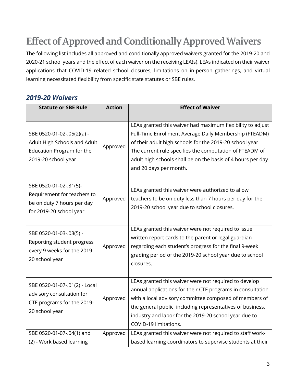## **Effect of Approved and Conditionally Approved Waivers**

The following list includes all approved and conditionally approved waivers granted for the 2019-20 and 2020-21 school years and the effect of each waiver on the receiving LEA(s). LEAs indicated on their waiver applications that COVID-19 related school closures, limitations on in-person gatherings, and virtual learning necessitated flexibility from specific state statutes or SBE rules.

### *2019-20 Waivers*

| <b>Statute or SBE Rule</b>                                                                                     | <b>Action</b> | <b>Effect of Waiver</b>                                                                                                                                                                                                                                                                                                              |
|----------------------------------------------------------------------------------------------------------------|---------------|--------------------------------------------------------------------------------------------------------------------------------------------------------------------------------------------------------------------------------------------------------------------------------------------------------------------------------------|
| SBE 0520-01-02-.05(2)(a) -<br>Adult High Schools and Adult<br>Education Program for the<br>2019-20 school year | Approved      | LEAs granted this waiver had maximum flexibility to adjust<br>Full-Time Enrollment Average Daily Membership (FTEADM)<br>of their adult high schools for the 2019-20 school year.<br>The current rule specifies the computation of FTEADM of<br>adult high schools shall be on the basis of 4 hours per day<br>and 20 days per month. |
| SBE 0520-01-02-.31(5)-<br>Requirement for teachers to<br>be on duty 7 hours per day<br>for 2019-20 school year | Approved      | LEAs granted this waiver were authorized to allow<br>teachers to be on duty less than 7 hours per day for the<br>2019-20 school year due to school closures.                                                                                                                                                                         |
| SBE 0520-01-03-.03(5) -<br>Reporting student progress<br>every 9 weeks for the 2019-<br>20 school year         | Approved      | LEAs granted this waiver were not required to issue<br>written report cards to the parent or legal guardian<br>regarding each student's progress for the final 9-week<br>grading period of the 2019-20 school year due to school<br>closures.                                                                                        |
| SBE 0520-01-07-.01(2) - Local<br>advisory consultation for<br>CTE programs for the 2019-<br>20 school year     | Approved      | LEAs granted this waiver were not required to develop<br>annual applications for their CTE programs in consultation<br>with a local advisory committee composed of members of<br>the general public, including representatives of business,<br>industry and labor for the 2019-20 school year due to<br>COVID-19 limitations.        |
| SBE 0520-01-07-.04(1) and<br>(2) - Work based learning                                                         | Approved      | LEAs granted this waiver were not required to staff work-<br>based learning coordinators to supervise students at their                                                                                                                                                                                                              |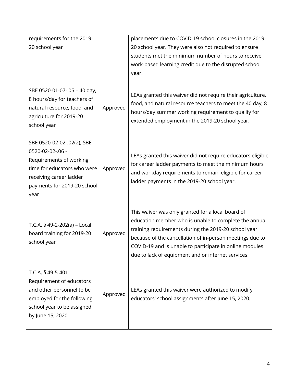| requirements for the 2019-<br>20 school year<br>SBE 0520-01-07-.05 - 40 day,                                                                                               |          | placements due to COVID-19 school closures in the 2019-<br>20 school year. They were also not required to ensure<br>students met the minimum number of hours to receive<br>work-based learning credit due to the disrupted school<br>year.<br>LEAs granted this waiver did not require their agriculture,                                       |
|----------------------------------------------------------------------------------------------------------------------------------------------------------------------------|----------|-------------------------------------------------------------------------------------------------------------------------------------------------------------------------------------------------------------------------------------------------------------------------------------------------------------------------------------------------|
| 8 hours/day for teachers of<br>natural resource, food, and<br>agriculture for 2019-20<br>school year                                                                       | Approved | food, and natural resource teachers to meet the 40 day, 8<br>hours/day summer working requirement to qualify for<br>extended employment in the 2019-20 school year.                                                                                                                                                                             |
| SBE 0520-02-02-.02(2), SBE<br>0520-02-02-.06 -<br>Requirements of working<br>time for educators who were<br>receiving career ladder<br>payments for 2019-20 school<br>year | Approved | LEAs granted this waiver did not require educators eligible<br>for career ladder payments to meet the minimum hours<br>and workday requirements to remain eligible for career<br>ladder payments in the 2019-20 school year.                                                                                                                    |
| T.C.A. § 49-2-202(a) - Local<br>board training for 2019-20<br>school year                                                                                                  | Approved | This waiver was only granted for a local board of<br>education member who is unable to complete the annual<br>training requirements during the 2019-20 school year<br>because of the cancellation of in-person meetings due to<br>COVID-19 and is unable to participate in online modules<br>due to lack of equipment and or internet services. |
| T.C.A. § 49-5-401 -<br>Requirement of educators<br>and other personnel to be<br>employed for the following<br>school year to be assigned<br>by June 15, 2020               | Approved | LEAs granted this waiver were authorized to modify<br>educators' school assignments after June 15, 2020.                                                                                                                                                                                                                                        |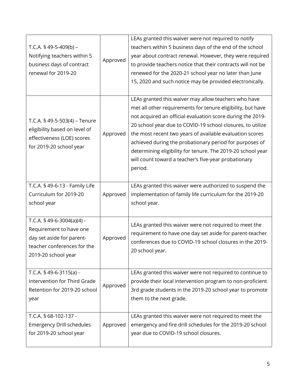| T.C.A. § 49-5-409(b) -<br>Notifying teachers within 5<br>business days of contract<br>renewal for 2019-20                                | Approved | LEAs granted this waiver were not required to notify<br>teachers within 5 business days of the end of the school<br>year about contract renewal. However, they were required<br>to provide teachers notice that their contracts will not be<br>renewed for the 2020-21 school year no later than June<br>15, 2020 and such notice may be provided electronically.                                                                                                                                        |  |
|------------------------------------------------------------------------------------------------------------------------------------------|----------|----------------------------------------------------------------------------------------------------------------------------------------------------------------------------------------------------------------------------------------------------------------------------------------------------------------------------------------------------------------------------------------------------------------------------------------------------------------------------------------------------------|--|
| T.C.A. § 49-5-503(4) – Tenure<br>eligibility based on level of<br>effectiveness (LOE) scores<br>for 2019-20 school year                  | Approved | LEAs granted this waiver may allow teachers who have<br>met all other requirements for tenure eligibility, but have<br>not acquired an official evaluation score during the 2019-<br>20 school year due to COVID-19 school closures, to utilize<br>the most recent two years of available evaluation scores<br>achieved during the probationary period for purposes of<br>determining eligibility for tenure. The 2019-20 school year<br>will count toward a teacher's five-year probationary<br>period. |  |
| T.C.A. § 49-6-13 - Family Life<br>Curriculum for 2019-20<br>school year                                                                  | Approved | LEAs granted this waiver were authorized to suspend the<br>implementation of family life curriculum for the 2019-20<br>school year.                                                                                                                                                                                                                                                                                                                                                                      |  |
| T.C.A. § 49-6-3004(a)(4) -<br>Requirement to have one<br>day set aside for parent-<br>teacher conferences for the<br>2019-20 school year | Approved | LEAs granted this waiver were not required to meet the<br>requirement to have one day set aside for parent-teacher<br>conferences due to COVID-19 school closures in the 2019-<br>20 school year.                                                                                                                                                                                                                                                                                                        |  |
| T.C.A. $$49-6-3115(a)$ -<br>Intervention for Third Grade<br>Retention for 2019-20 school<br>year                                         | Approved | LEAs granted this waiver were not required to continue to<br>provide their local intervention program to non-proficient<br>3rd grade students in the 2019-20 school year to promote<br>them to the next grade.                                                                                                                                                                                                                                                                                           |  |
| T.C.A. § 68-102-137 -<br><b>Emergency Drill schedules</b><br>for 2019-20 school year                                                     | Approved | LEAs granted this waiver were not required to meet the<br>emergency and fire drill schedules for the 2019-20 school<br>year due to COVID-19 school closures.                                                                                                                                                                                                                                                                                                                                             |  |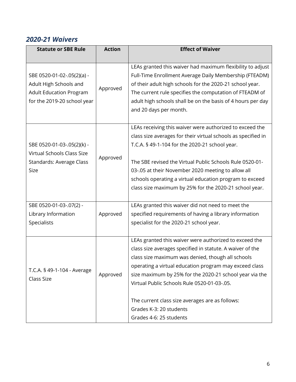#### *2020-21 Waivers*

| <b>Statute or SBE Rule</b>                                                                                            | <b>Action</b> | <b>Effect of Waiver</b>                                                                                                                                                                                                                                                                                                                                                                                                                               |
|-----------------------------------------------------------------------------------------------------------------------|---------------|-------------------------------------------------------------------------------------------------------------------------------------------------------------------------------------------------------------------------------------------------------------------------------------------------------------------------------------------------------------------------------------------------------------------------------------------------------|
|                                                                                                                       |               |                                                                                                                                                                                                                                                                                                                                                                                                                                                       |
| SBE 0520-01-02-.05(2)(a) -<br>Adult High Schools and<br><b>Adult Education Program</b><br>for the 2019-20 school year | Approved      | LEAs granted this waiver had maximum flexibility to adjust<br>Full-Time Enrollment Average Daily Membership (FTEADM)<br>of their adult high schools for the 2020-21 school year.<br>The current rule specifies the computation of FTEADM of<br>adult high schools shall be on the basis of 4 hours per day<br>and 20 days per month.                                                                                                                  |
| SBE 0520-01-03-.05(2)(k) -<br>Virtual Schools Class Size<br>Standards: Average Class<br>Size                          | Approved      | LEAs receiving this waiver were authorized to exceed the<br>class size averages for their virtual schools as specified in<br>T.C.A. § 49-1-104 for the 2020-21 school year.<br>The SBE revised the Virtual Public Schools Rule 0520-01-<br>03-.05 at their November 2020 meeting to allow all<br>schools operating a virtual education program to exceed<br>class size maximum by 25% for the 2020-21 school year.                                    |
| SBE 0520-01-03-.07(2) -<br>Library Information<br>Specialists                                                         | Approved      | LEAs granted this waiver did not need to meet the<br>specified requirements of having a library information<br>specialist for the 2020-21 school year.                                                                                                                                                                                                                                                                                                |
| T.C.A. § 49-1-104 - Average<br>Class Size                                                                             | Approved      | LEAs granted this waiver were authorized to exceed the<br>class size averages specified in statute. A waiver of the<br>class size maximum was denied, though all schools<br>operating a virtual education program may exceed class<br>size maximum by 25% for the 2020-21 school year via the<br>Virtual Public Schools Rule 0520-01-03-.05.<br>The current class size averages are as follows:<br>Grades K-3: 20 students<br>Grades 4-6: 25 students |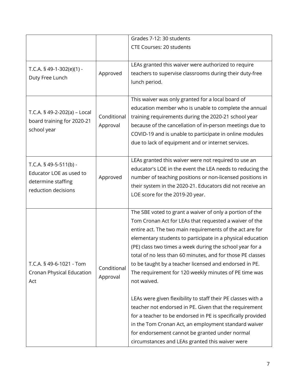|                                                                                                 |                         | Grades 7-12: 30 students                                                                                                                                                                                                                                                                                                                                                                                                                                                                                                                                                                                                                                                                                                                                                                                                                                       |  |
|-------------------------------------------------------------------------------------------------|-------------------------|----------------------------------------------------------------------------------------------------------------------------------------------------------------------------------------------------------------------------------------------------------------------------------------------------------------------------------------------------------------------------------------------------------------------------------------------------------------------------------------------------------------------------------------------------------------------------------------------------------------------------------------------------------------------------------------------------------------------------------------------------------------------------------------------------------------------------------------------------------------|--|
|                                                                                                 |                         | <b>CTE Courses: 20 students</b>                                                                                                                                                                                                                                                                                                                                                                                                                                                                                                                                                                                                                                                                                                                                                                                                                                |  |
| T.C.A. $$49-1-302(e)(1) -$<br>Duty Free Lunch                                                   | Approved                | LEAs granted this waiver were authorized to require<br>teachers to supervise classrooms during their duty-free<br>lunch period.                                                                                                                                                                                                                                                                                                                                                                                                                                                                                                                                                                                                                                                                                                                                |  |
|                                                                                                 |                         |                                                                                                                                                                                                                                                                                                                                                                                                                                                                                                                                                                                                                                                                                                                                                                                                                                                                |  |
| T.C.A. § 49-2-202(a) - Local<br>board training for 2020-21<br>school year                       | Conditional<br>Approval | This waiver was only granted for a local board of<br>education member who is unable to complete the annual<br>training requirements during the 2020-21 school year<br>because of the cancellation of in-person meetings due to<br>COVID-19 and is unable to participate in online modules<br>due to lack of equipment and or internet services.                                                                                                                                                                                                                                                                                                                                                                                                                                                                                                                |  |
| T.C.A. $$49-5-511(b) -$<br>Educator LOE as used to<br>determine staffing<br>reduction decisions | Approved                | LEAs granted this waiver were not required to use an<br>educator's LOE in the event the LEA needs to reducing the<br>number of teaching positions or non-licensed positions in<br>their system in the 2020-21. Educators did not receive an<br>LOE score for the 2019-20 year.                                                                                                                                                                                                                                                                                                                                                                                                                                                                                                                                                                                 |  |
| T.C.A. § 49-6-1021 - Tom<br>Cronan Physical Education<br>Act                                    | Conditional<br>Approval | The SBE voted to grant a waiver of only a portion of the<br>Tom Cronan Act for LEAs that requested a waiver of the<br>entire act. The two main requirements of the act are for<br>elementary students to participate in a physical education<br>(PE) class two times a week during the school year for a<br>total of no less than 60 minutes, and for those PE classes<br>to be taught by a teacher licensed and endorsed in PE.<br>The requirement for 120 weekly minutes of PE time was<br>not waived.<br>LEAs were given flexibility to staff their PE classes with a<br>teacher not endorsed in PE. Given that the requirement<br>for a teacher to be endorsed in PE is specifically provided<br>in the Tom Cronan Act, an employment standard waiver<br>for endorsement cannot be granted under normal<br>circumstances and LEAs granted this waiver were |  |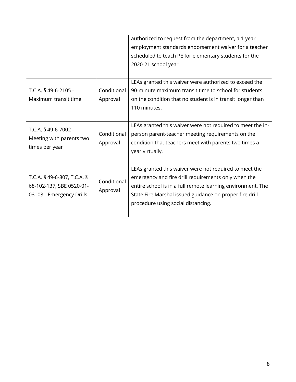|                                                                                      |                         | authorized to request from the department, a 1-year<br>employment standards endorsement waiver for a teacher<br>scheduled to teach PE for elementary students for the<br>2020-21 school year.                                                                                 |
|--------------------------------------------------------------------------------------|-------------------------|-------------------------------------------------------------------------------------------------------------------------------------------------------------------------------------------------------------------------------------------------------------------------------|
| T.C.A. § 49-6-2105 -<br>Maximum transit time                                         | Conditional<br>Approval | LEAs granted this waiver were authorized to exceed the<br>90-minute maximum transit time to school for students<br>on the condition that no student is in transit longer than<br>110 minutes.<br>LEAs granted this waiver were not required to meet the in-                   |
| T.C.A. § 49-6-7002 -<br>Meeting with parents two<br>times per year                   | Conditional<br>Approval | person parent-teacher meeting requirements on the<br>condition that teachers meet with parents two times a<br>year virtually.                                                                                                                                                 |
| T.C.A. § 49-6-807, T.C.A. §<br>68-102-137, SBE 0520-01-<br>03-.03 - Emergency Drills | Conditional<br>Approval | LEAs granted this waiver were not required to meet the<br>emergency and fire drill requirements only when the<br>entire school is in a full remote learning environment. The<br>State Fire Marshal issued guidance on proper fire drill<br>procedure using social distancing. |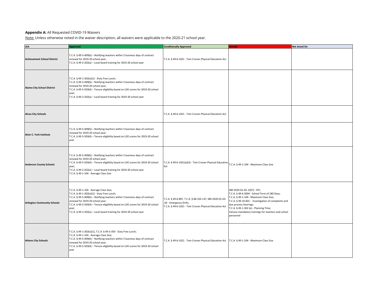#### **Appendix A:** All Requested COVID-19 Waivers

Note: Unless otherwise noted in the waiver description, all waivers were applicable to the 2020-21 school year.

| LEA                                | <b>Approved</b>                                                                                                                                                                                                                                                                                                                                                               | <b>Conditionally Approved</b>                                                                                                                | enied                                                                                                                                                                                                                                                                                                                  | Not Acted On |
|------------------------------------|-------------------------------------------------------------------------------------------------------------------------------------------------------------------------------------------------------------------------------------------------------------------------------------------------------------------------------------------------------------------------------|----------------------------------------------------------------------------------------------------------------------------------------------|------------------------------------------------------------------------------------------------------------------------------------------------------------------------------------------------------------------------------------------------------------------------------------------------------------------------|--------------|
| <b>Achievement School District</b> | T.C.A. § 49-5-409(b) - Notifying teachers within 5 business days of contract<br>renewal for 2019-20 school year;<br>T.C.A. § 49-2-202(a) - Local board training for 2019-20 school year                                                                                                                                                                                       | T.C.A. § 49-6-1021 - Tom Cronan Physical Education Act                                                                                       |                                                                                                                                                                                                                                                                                                                        |              |
| <b>Alamo City School District</b>  | T.C.A. § 49-1-302(e)(1) - Duty Free Lunch;<br>T.C.A. § 49-5-409(b) - Notifying teachers within 5 business days of contract<br>renewal for 2019-20 school year;<br>T.C.A. § 49-5-503(4) - Tenure eligibility based on LOE scores for 2019-20 school<br>year;<br>T.C.A. § 49-2-202(a) - Local board training for 2019-20 school year                                            |                                                                                                                                              |                                                                                                                                                                                                                                                                                                                        |              |
| <b>Alcoa City Schools</b>          |                                                                                                                                                                                                                                                                                                                                                                               | T.C.A. § 49-6-1021 - Tom Cronan Physical Education Act                                                                                       |                                                                                                                                                                                                                                                                                                                        |              |
| Alvin C. York Institute            | T.C.A. § 49-5-409(b) - Notifying teachers within 5 business days of contract<br>renewal for 2019-20 school year;<br>T.C.A. § 49-5-503(4) - Tenure eligibility based on LOE scores for 2019-20 school<br>year                                                                                                                                                                  |                                                                                                                                              |                                                                                                                                                                                                                                                                                                                        |              |
| <b>Anderson County Schools</b>     | T.C.A. § 49-5-409(b) - Notifying teachers within 5 business days of contract<br>renewal for 2019-20 school year;<br>T.C.A. § 49-5-503(4) - Tenure eligibility based on LOE scores for 2019-20 school<br>year;<br>T.C.A. § 49-2-202(a) - Local board training for 2019-20 school year<br>T.C.A. § 49-1-104 - Average Class Size                                                | T.C.A. § 49-6-1021(e)(3) - Tom Cronan Physical Education<br>Act                                                                              | T.C.A. § 49-1-104 - Maximum Class Size                                                                                                                                                                                                                                                                                 |              |
| <b>Arlington Community Schools</b> | T.C.A. § 49-1-104 - Average Class Size;<br>T.C.A. § 49-1-302(e)(1) - Duty Free Lunch;<br>T.C.A. § 49-5-409(b) - Notifying teachers within 5 business days of contract<br>renewal for 2019-20 school year;<br>T.C.A. § 49-5-503(4) - Tenure eligibility based on LOE scores for 2019-20 school<br>year;<br>T.C.A. § 49-2-202(a) - Local board training for 2019-20 school year | T.C.A. § 49-6-807, T.C.A. § 68-102-137, SBE 0520-01-03-<br>.03 - Emergency Drills;<br>T.C.A. § 49-6-1021 - Tom Cronan Physical Education Act | SBE 0520-01-03-.03(7) - RTI;<br>.C.A. § 49-6-3004 - School Term of 180 Days;<br>T.C.A. § 49-1-104 - Maximum Class Size;<br>T.C.A. § 49-10-601 - Investigation of complaints and<br>due process hearings;<br>T.C.A. § 49-1-302 (e) - Planning Time;<br>Various mandatory trainings for teachers and school<br>personnel |              |
| <b>Athens City Schools</b>         | T.C.A. § 49-1-302(e)(1), T.C.A. § 49-3-359 - Duty Free Lunch;<br>T.C.A. § 49-1-104 - Average Class Size;<br>T.C.A. § 49-5-409(b) - Notifying teachers within 5 business days of contract<br>renewal for 2019-20 school year;<br>T.C.A. § 49-5-503(4) - Tenure eligibility based on LOE scores for 2019-20 school<br>year                                                      | T.C.A. § 49-6-1021 - Tom Cronan Physical Education Act   T.C.A. § 49-1-104 - Maximum Class Size                                              |                                                                                                                                                                                                                                                                                                                        |              |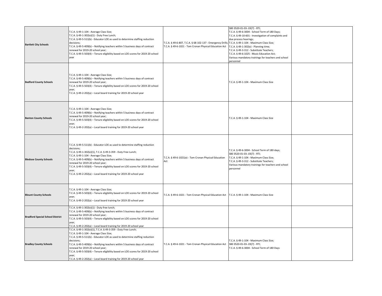| <b>Bartlett City Schools</b>            | T.C.A. § 49-1-104 - Average Class Size;<br>T.C.A. § 49-1-302(e)(1) - Duty Free Lunch;<br>T.C.A. § 49-5-511(b) - Educator LOE as used to determine staffing reduction<br>decisions;<br>T.C.A. § 49-5-409(b) - Notifying teachers within 5 business days of contract<br>renewal for 2019-20 school year;<br>T.C.A. § 49-5-503(4) - Tenure eligibility based on LOE scores for 2019-20 school<br>year                                                                                            | T.C.A. § 49-6-807, T.C.A. § 68-102-137 - Emergency Drills; T.C.A. § 49-1-104 - Maximum Class Size;<br>T.C.A. § 49-6-1021 - Tom Cronan Physical Education Act | SBE 0520-01-03-.03(7) - RTI;<br>T.C.A. § 49-6-3004 - School Term of 180 Days;<br>T.C.A. § 49-10-601 - Investigation of complaints and<br>due process hearings;<br>T.C.A. § 49-1-302(e) - Planning time;<br>T.C.A. § 49-3-312 - Substitute Teachers;<br>T.C.A. § 49-6-1025 - Music Education Act;<br>Various mandatory trainings for teachers and school<br>personnel |  |
|-----------------------------------------|-----------------------------------------------------------------------------------------------------------------------------------------------------------------------------------------------------------------------------------------------------------------------------------------------------------------------------------------------------------------------------------------------------------------------------------------------------------------------------------------------|--------------------------------------------------------------------------------------------------------------------------------------------------------------|----------------------------------------------------------------------------------------------------------------------------------------------------------------------------------------------------------------------------------------------------------------------------------------------------------------------------------------------------------------------|--|
| <b>Bedford County Schools</b>           | T.C.A. § 49-1-104 - Average Class Size;<br>T.C.A. § 49-5-409(b) - Notifying teachers within 5 business days of contract<br>renewal for 2019-20 school year;<br>T.C.A. § 49-5-503(4) - Tenure eligibility based on LOE scores for 2019-20 school<br>year;<br>T.C.A. § 49-2-202(a) - Local board training for 2019-20 school year                                                                                                                                                               |                                                                                                                                                              | T.C.A. § 49-1-104 - Maximum Class Size                                                                                                                                                                                                                                                                                                                               |  |
| <b>Benton County Schools</b>            | T.C.A. § 49-1-104 - Average Class Size;<br>T.C.A. § 49-5-409(b) - Notifying teachers within 5 business days of contract<br>renewal for 2019-20 school year;<br>T.C.A. § 49-5-503(4) - Tenure eligibility based on LOE scores for 2019-20 school<br>year;<br>T.C.A. § 49-2-202(a) - Local board training for 2019-20 school year                                                                                                                                                               |                                                                                                                                                              | T.C.A. § 49-1-104 - Maximum Class Size                                                                                                                                                                                                                                                                                                                               |  |
| <b>Bledsoe County Schools</b>           | T.C.A. § 49-5-511(b) - Educator LOE as used to determine staffing reduction<br>decisions;<br>T.C.A. § 49-1-302(e)(1), T.C.A. § 49-3-359 - Duty Free Lunch;<br>T.C.A. § 49-1-104 - Average Class Size;<br>T.C.A. § 49-5-409(b) - Notifying teachers within 5 business days of contract<br>renewal for 2019-20 school year;<br>T.C.A. § 49-5-503(4) - Tenure eligibility based on LOE scores for 2019-20 school<br>year;<br>T.C.A. § 49-2-202(a) - Local board training for 2019-20 school year | T.C.A. § 49-6-1021(e) - Tom Cronan Physical Education<br>Act                                                                                                 | T.C.A. § 49-6-3004 - School Term of 180 days;<br>SBE 0520-01-03-.03(7) - RTI;<br>T.C.A. § 49-1-104 - Maximum Class Size;<br>T.C.A. § 49-3-312 - Substitute Teachers;<br>Various mandatory trainings for teachers and school<br>personnel                                                                                                                             |  |
| <b>Blount County Schools</b>            | T.C.A. § 49-1-104 - Average Class Size;<br>T.C.A. § 49-5-503(4) - Tenure eligibility based on LOE scores for 2019-20 school<br>year;<br>T.C.A. § 49-2-202(a) - Local board training for 2019-20 school year                                                                                                                                                                                                                                                                                   | T.C.A. § 49-6-1021 - Tom Cronan Physical Education Act                                                                                                       | T.C.A. § 49-1-104 - Maximum Class Size                                                                                                                                                                                                                                                                                                                               |  |
| <b>Bradford Special School District</b> | T.C.A. § 49-1-302(e)(1) - Duty free lunch;<br>T.C.A. § 49-5-409(b) - Notifying teachers within 5 business days of contract<br>renewal for 2019-20 school year;<br>T.C.A. § 49-5-503(4) - Tenure eligibility based on LOE scores for 2019-20 school<br>year;<br>T.C.A. § 49-2-202(a) - Local board training for 2019-20 school year                                                                                                                                                            |                                                                                                                                                              |                                                                                                                                                                                                                                                                                                                                                                      |  |
| <b>Bradley County Schools</b>           | T.C.A. § 49-1-302(e)(1), T.C.A. § 49-3-359 - Duty Free Lunch;<br>T.C.A. § 49-1-104 - Average Class Size;<br>T.C.A. § 49-5-511(b) - Educator LOE as used to determine staffing reduction<br>decisions;<br>T.C.A. § 49-5-409(b) - Notifying teachers within 5 business days of contract<br>renewal for 2019-20 school year;<br>T.C.A. § 49-5-503(4) - Tenure eligibility based on LOE scores for 2019-20 school<br>year;<br>T.C.A. § 49-2-202(a) - Local board training for 2019-20 school year | T.C.A. § 49-6-1021 - Tom Cronan Physical Education Act                                                                                                       | T.C.A. § 49-1-104 - Maximum Class Size;<br>SBE 0520-01-03-.03(7) - RTI;<br>T.C.A. § 49-6-3004 - School Term of 180 Days                                                                                                                                                                                                                                              |  |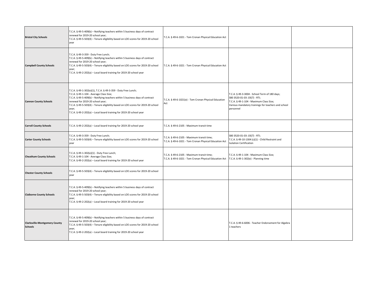| <b>Bristol City Schools</b>                            | T.C.A. § 49-5-409(b) - Notifying teachers within 5 business days of contract<br>renewal for 2019-20 school year;<br>T.C.A. § 49-5-503(4) - Tenure eligibility based on LOE scores for 2019-20 school<br>year                                                                                                                                                                                     | T.C.A. § 49-6-1021 - Tom Cronan Physical Education Act                                               |                                                                                                                                                                                              |  |
|--------------------------------------------------------|--------------------------------------------------------------------------------------------------------------------------------------------------------------------------------------------------------------------------------------------------------------------------------------------------------------------------------------------------------------------------------------------------|------------------------------------------------------------------------------------------------------|----------------------------------------------------------------------------------------------------------------------------------------------------------------------------------------------|--|
| <b>Campbell County Schools</b>                         | T.C.A. § 49-3-359 - Duty Free Lunch;<br>T.C.A. § 49-5-409(b) - Notifying teachers within 5 business days of contract<br>renewal for 2019-20 school year;<br>T.C.A. § 49-5-503(4) - Tenure eligibility based on LOE scores for 2019-20 school<br>year;<br>T.C.A. § 49-2-202(a) - Local board training for 2019-20 school year                                                                     | T.C.A. § 49-6-1021 - Tom Cronan Physical Education Act                                               |                                                                                                                                                                                              |  |
| <b>Cannon County Schools</b>                           | T.C.A. § 49-1-302(e)(1), T.C.A. § 49-3-359 - Duty Free Lunch;<br>T.C.A. § 49-1-104 - Average Class Size;<br>T.C.A. § 49-5-409(b) - Notifying teachers within 5 business days of contract<br>renewal for 2019-20 school year;<br>T.C.A. § 49-5-503(4) - Tenure eligibility based on LOE scores for 2019-20 school<br>year;<br>T.C.A. § 49-2-202(a) - Local board training for 2019-20 school year | T.C.A. § 49-6-1021(e) - Tom Cronan Physical Education<br>Act                                         | T.C.A. § 49-3-3004 - School Term of 180 days;<br>SBE 0520-01-03-.03(7) - RTI;<br>T.C.A. § 49-1-104 - Maximum Class Size;<br>Various mandatory trainings for teachers and school<br>personnel |  |
| <b>Carroll County Schools</b>                          | T.C.A. § 49-2-202(a) - Local board training for 2019-20 school year                                                                                                                                                                                                                                                                                                                              | T.C.A. § 49-6-2105 - Maximum transit time                                                            |                                                                                                                                                                                              |  |
| <b>Carter County Schools</b>                           | T.C.A. § 49-3-359 - Duty Free Lunch;<br>T.C.A. § 49-5-503(4) - Tenure eligibility based on LOE scores for 2019-20 school<br>year                                                                                                                                                                                                                                                                 | T.C.A. § 49-6-2105 - Maximum transit time;<br>T.C.A. § 49-6-1021 - Tom Cronan Physical Education Act | SBE 0520-01-03-.03(7) - RTI;<br>T.C.A. § 49-10-1304 (c)(1) - Child Restraint and<br><b>Isolation Certification</b>                                                                           |  |
| <b>Cheatham County Schools</b>                         | T.C.A. § 49-1-302(e)(1) - Duty Free Lunch;<br>T.C.A. § 49-1-104 - Average Class Size;<br>T.C.A. § 49-2-202(a) - Local board training for 2019-20 school year                                                                                                                                                                                                                                     | .C.A. § 49-6-2105 - Maximum transit time;<br>T.C.A. § 49-6-1021 - Tom Cronan Physical Education Act  | T.C.A. § 49-1-104 - Maximum Class Size;<br>T.C.A. § 49-1-302(e) - Planning time                                                                                                              |  |
| <b>Chester County Schools</b>                          | T.C.A. § 49-5-503(4) - Tenure eligibility based on LOE scores for 2019-20 school<br>year                                                                                                                                                                                                                                                                                                         |                                                                                                      |                                                                                                                                                                                              |  |
| <b>Claiborne County Schools</b>                        | T.C.A. § 49-5-409(b) - Notifying teachers within 5 business days of contract<br>renewal for 2019-20 school year;<br>T.C.A. § 49-5-503(4) - Tenure eligibility based on LOE scores for 2019-20 school<br>year;<br>T.C.A. § 49-2-202(a) - Local board training for 2019-20 school year                                                                                                             |                                                                                                      |                                                                                                                                                                                              |  |
| <b>Clarksville-Montgomery County</b><br><b>Schools</b> | T.C.A. § 49-5-409(b) - Notifying teachers within 5 business days of contract<br>renewal for 2019-20 school year;<br>T.C.A. § 49-5-503(4) - Tenure eligibility based on LOE scores for 2019-20 school<br>year;<br>T.C.A. § 49-2-202(a) - Local board training for 2019-20 school year                                                                                                             |                                                                                                      | T.C.A. § 49-6-6006 - Teacher Endorsement for Algebra<br>1 teachers                                                                                                                           |  |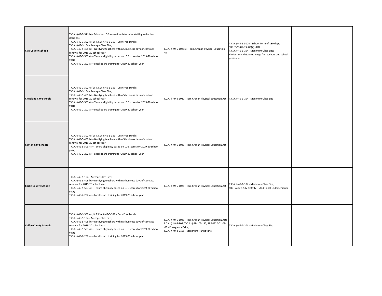| <b>Clay County Schools</b>    | T.C.A. § 49-5-511(b) - Educator LOE as used to determine staffing reduction<br>decisions;<br>T.C.A. § 49-1-302(e)(1), T.C.A. § 49-3-359 - Duty Free Lunch;<br>T.C.A. § 49-1-104 - Average Class Size;<br>T.C.A. § 49-5-409(b) - Notifying teachers within 5 business days of contract<br>renewal for 2019-20 school year;<br>T.C.A. § 49-5-503(4) - Tenure eligibility based on LOE scores for 2019-20 school<br>year;<br>T.C.A. § 49-2-202(a) - Local board training for 2019-20 school year | T.C.A. § 49-6-1021(e) - Tom Cronan Physical Education<br>Act                                                                                                                               | T.C.A. § 49-6-3004 - School Term of 180 days;<br>SBE 0520-01-03-.03(7) - RTI;<br>T.C.A. § 49-1-104 - Maximum Class Size;<br>Various mandatory trainings for teachers and school<br>personnel |  |
|-------------------------------|-----------------------------------------------------------------------------------------------------------------------------------------------------------------------------------------------------------------------------------------------------------------------------------------------------------------------------------------------------------------------------------------------------------------------------------------------------------------------------------------------|--------------------------------------------------------------------------------------------------------------------------------------------------------------------------------------------|----------------------------------------------------------------------------------------------------------------------------------------------------------------------------------------------|--|
| <b>Cleveland City Schools</b> | T.C.A. § 49-1-302(e)(1), T.C.A. § 49-3-359 - Duty Free Lunch;<br>T.C.A. § 49-1-104 - Average Class Size;<br>T.C.A. § 49-5-409(b) - Notifying teachers within 5 business days of contract<br>renewal for 2019-20 school year;<br>T.C.A. § 49-5-503(4) - Tenure eligibility based on LOE scores for 2019-20 school<br>year;<br>T.C.A. § 49-2-202(a) - Local board training for 2019-20 school year                                                                                              | T.C.A. § 49-6-1021 - Tom Cronan Physical Education Act   T.C.A. § 49-1-104 - Maximum Class Size                                                                                            |                                                                                                                                                                                              |  |
| <b>Clinton City Schools</b>   | T.C.A. § 49-1-302(e)(1), T.C.A. § 49-3-359 - Duty Free Lunch;<br>T.C.A. § 49-5-409(b) - Notifying teachers within 5 business days of contract<br>renewal for 2019-20 school year;<br>T.C.A. § 49-5-503(4) - Tenure eligibility based on LOE scores for 2019-20 school<br>year;<br>T.C.A. § 49-2-202(a) - Local board training for 2019-20 school year                                                                                                                                         | T.C.A. § 49-6-1021 - Tom Cronan Physical Education Act                                                                                                                                     |                                                                                                                                                                                              |  |
| <b>Cocke County Schools</b>   | T.C.A. § 49-1-104 - Average Class Size;<br>T.C.A. § 49-5-409(b) - Notifying teachers within 5 business days of contract<br>renewal for 2019-20 school year;<br>T.C.A. § 49-5-503(4) - Tenure eligibility based on LOE scores for 2019-20 school<br>year;<br>T.C.A. § 49-2-202(a) - Local board training for 2019-20 school year                                                                                                                                                               | T.C.A. § 49-6-1021 - Tom Cronan Physical Education Act                                                                                                                                     | T.C.A. § 49-1-104 - Maximum Class Size;<br>SBE Policy 5.502 (3)(a)(2) - Additional Endorsements                                                                                              |  |
| <b>Coffee County Schools</b>  | T.C.A. § 49-1-302(e)(1), T.C.A. § 49-3-359 - Duty Free Lunch;<br>T.C.A. § 49-1-104 - Average Class Size;<br>T.C.A. § 49-5-409(b) - Notifying teachers within 5 business days of contract<br>renewal for 2019-20 school year;<br>T.C.A. § 49-5-503(4) - Tenure eligibility based on LOE scores for 2019-20 school<br>year;<br>T.C.A. § 49-2-202(a) - Local board training for 2019-20 school year                                                                                              | T.C.A. § 49-6-1021 - Tom Cronan Physical Education Act;<br>T.C.A. § 49-6-807, T.C.A. § 68-102-137, SBE 0520-01-03-<br>.03 - Emergency Drills;<br>T.C.A. § 49-2-2105 - Maximum transit time | T.C.A. § 49-1-104 - Maximum Class Size                                                                                                                                                       |  |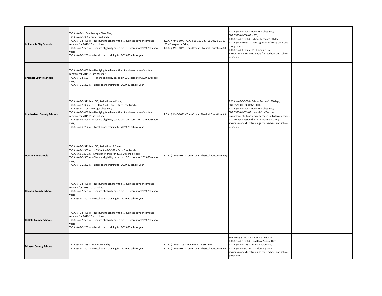| <b>Collierville City Schools</b> | T.C.A. § 49-1-104 - Average Class Size;<br>T.C.A. § 49-3-359 - Duty Free Lunch;<br>T.C.A. § 49-5-409(b) - Notifying teachers within 5 business days of contract<br>renewal for 2019-20 school year;<br>T.C.A. § 49-5-503(4) - Tenure eligibility based on LOE scores for 2019-20 school<br>year;<br>T.C.A. § 49-2-202(a) - Local board training for 2019-20 school year                                                                              | T.C.A. § 49-6-807, T.C.A. § 68-102-137, SBE 0520-01-03-<br>.03 - Emergency Drills;<br>T.C.A. § 49-6-1021 - Tom Cronan Physical Education Act | T.C.A. § 49-1-104 - Maximum Class Size;<br>SBE 0520-01-03-.03 - RTI;<br>T.C.A. § 49-6-3004 - School Term of 180 days;<br>T.C.A. § 49-10-601 - Investigations of complaints and<br>due process;<br>T.C.A. § 49-1-302(e)(2)- Planning Time;<br>Various mandatory trainings for teachers and school<br>personnel                                 |  |
|----------------------------------|------------------------------------------------------------------------------------------------------------------------------------------------------------------------------------------------------------------------------------------------------------------------------------------------------------------------------------------------------------------------------------------------------------------------------------------------------|----------------------------------------------------------------------------------------------------------------------------------------------|-----------------------------------------------------------------------------------------------------------------------------------------------------------------------------------------------------------------------------------------------------------------------------------------------------------------------------------------------|--|
| <b>Crockett County Schools</b>   | T.C.A. § 49-5-409(b) - Notifying teachers within 5 business days of contract<br>renewal for 2019-20 school year;<br>T.C.A. § 49-5-503(4) - Tenure eligibility based on LOE scores for 2019-20 school<br>year;<br>T.C.A. § 49-2-202(a) - Local board training for 2019-20 school year                                                                                                                                                                 |                                                                                                                                              |                                                                                                                                                                                                                                                                                                                                               |  |
| <b>Cumberland County Schools</b> | T.C.A. § 49-5-511(b) - LOE, Reductions in Force;<br>T.C.A. § 49-1-302(e)(1), T.C.A. § 49-3-359 - Duty Free Lunch;<br>T.C.A. § 49-1-104 - Average Class Size;<br>T.C.A. § 49-5-409(b) - Notifying teachers within 5 business days of contract<br>renewal for 2019-20 school year;<br>T.C.A. § 49-5-503(4) - Tenure eligibility based on LOE scores for 2019-20 school<br>year;<br>T.C.A. § 49-2-202(a) - Local board training for 2019-20 school year | T.C.A. § 49-6-1021 - Tom Cronan Physical Education Act                                                                                       | T.C.A. § 49-6-3004 - School Term of 180 days;<br>SBE 0520-01-03-.03(7) - RTI;<br>T.C.A. § 49-1-104 - Maximum Class Size;<br>SBE 0520-01-02-.03 (1) and (2) - Teacher<br>endorsement; Teachers may teach up to two sections<br>of a course outside their endorsement area;<br>Various mandatory trainings for teachers and school<br>personnel |  |
| <b>Dayton City Schools</b>       | T.C.A. § 49-5-511(b) - LOE, Reduction of Force;<br>T.C.A. § 49-1-302(e)(1), T.C.A. § 49-3-359 - Duty Free Lunch;<br>T.C.A. § 68-102-137 - Emergency drills for 2019-20 school year;<br>T.C.A. § 49-5-503(4) - Tenure eligibility based on LOE scores for 2019-20 school<br>year;<br>T.C.A. § 49-2-202(a) - Local board training for 2019-20 school year                                                                                              | T.C.A. § 49-6-1021 - Tom Cronan Physical Education Act;                                                                                      |                                                                                                                                                                                                                                                                                                                                               |  |
| <b>Decatur County Schools</b>    | T.C.A. § 49-5-409(b) - Notifying teachers within 5 business days of contract<br>renewal for 2019-20 school year;<br>T.C.A. § 49-5-503(4) - Tenure eligibility based on LOE scores for 2019-20 school<br>year;<br>T.C.A. § 49-2-202(a) - Local board training for 2019-20 school year                                                                                                                                                                 |                                                                                                                                              |                                                                                                                                                                                                                                                                                                                                               |  |
| <b>DeKalb County Schools</b>     | T.C.A. § 49-5-409(b) - Notifying teachers within 5 business days of contract<br>renewal for 2019-20 school year;<br>T.C.A. § 49-5-503(4) - Tenure eligibility based on LOE scores for 2019-20 school<br>year;<br>T.C.A. § 49-2-202(a) - Local board training for 2019-20 school year                                                                                                                                                                 |                                                                                                                                              |                                                                                                                                                                                                                                                                                                                                               |  |
| <b>Dickson County Schools</b>    | T.C.A. § 49-3-359 - Duty Free Lunch;<br>T.C.A. § 49-2-202(a) - Local board training for 2019-20 school year                                                                                                                                                                                                                                                                                                                                          | T.C.A. § 49-6-2105 - Maximum transit time;<br>T.C.A. § 49-6-1021 - Tom Cronan Physical Education Act                                         | SBE Policy 3.207 - ELL Service Delivery;<br>T.C.A. § 49-6-3004 - Length of School Day;<br>T.C.A. § 49-1-229 - Dyslexia Screening;<br>T.C.A. § 49-1-302(e)(2) - Planning Time;<br>Various mandatory trainings for teachers and school<br>personnel                                                                                             |  |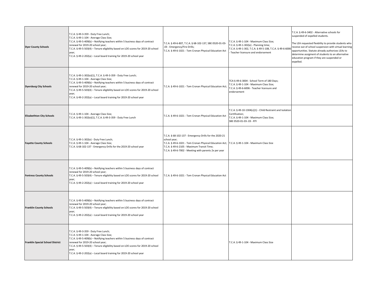| <b>Dyer County Schools</b>              | T.C.A. § 49-3-359 - Duty Free Lunch;<br>T.C.A. § 49-1-104 - Average Class Size;<br>T.C.A. § 49-5-409(b) - Notifying teachers within 5 business days of contract<br>renewal for 2019-20 school year;<br>T.C.A. § 49-5-503(4) - Tenure eligibility based on LOE scores for 2019-20 school<br>year;<br>T.C.A. § 49-2-202(a) - Local board training for 2019-20 school year                          | T.C.A. § 49-6-807, T.C.A. § 68-102-137, SBE 0520-01-03-<br>.03 - Emergency/Fire Drills;<br>T.C.A. § 49-6-1021 - Tom Cronan Physical Education Act                                                                                                                               | T.C.A. § 49-1-104 - Maximum Class Size;<br>T.C.A. § 49-1-302(e) - Planning time;<br>T.C.A. § 49-1-302, T.C.A. § 49-5-108, T.C.A. § 49-6-6006<br>Teacher licensure and endorsement | T.C.A. § 49-6-3402 - Alternative schools for<br>suspended of expelled students.<br>The LEA requested flexbility to provide students who<br>receive out of school suspension with virtual learning<br>opportunities. Statute already authorizes LEAs to<br>determine assigment of students to an alternative<br>education program if they are suspended or<br>expelled. |
|-----------------------------------------|--------------------------------------------------------------------------------------------------------------------------------------------------------------------------------------------------------------------------------------------------------------------------------------------------------------------------------------------------------------------------------------------------|---------------------------------------------------------------------------------------------------------------------------------------------------------------------------------------------------------------------------------------------------------------------------------|-----------------------------------------------------------------------------------------------------------------------------------------------------------------------------------|------------------------------------------------------------------------------------------------------------------------------------------------------------------------------------------------------------------------------------------------------------------------------------------------------------------------------------------------------------------------|
| <b>Dyersburg City Schools</b>           | T.C.A. § 49-1-302(e)(1), T.C.A. § 49-3-359 - Duty Free Lunch;<br>T.C.A. § 49-1-104 - Average Class Size;<br>T.C.A. § 49-5-409(b) - Notifying teachers within 5 business days of contract<br>renewal for 2019-20 school year;<br>T.C.A. § 49-5-503(4) - Tenure eligibility based on LOE scores for 2019-20 school<br>year;<br>T.C.A. § 49-2-202(a) - Local board training for 2019-20 school year | T.C.A. § 49-6-1021 - Tom Cronan Physical Education Act;                                                                                                                                                                                                                         | TCA § 49-6-3004 - School Term of 180 Days;<br>T.C.A. § 49-1-104 - Maximum Class Size;<br>T.C.A. § 49-6-6006 - Teacher licensure and<br>endorsement                                |                                                                                                                                                                                                                                                                                                                                                                        |
| <b>Elizabethton City Schools</b>        | T.C.A. § 49-1-104 - Average Class Size;<br>T.C.A. § 49-1-302(e)(1), T.C.A. § 49-3-359 - Duty Free Lunch                                                                                                                                                                                                                                                                                          | T.C.A. § 49-6-1021 - Tom Cronan Physical Education Act                                                                                                                                                                                                                          | T.C.A. § 49-10-1304(c)(1) - Child Restraint and Isolation<br>Certification;<br>T.C.A. § 49-1-104 - Maximum Class Size;<br>SBE 0520-01-03-.03 - RTI                                |                                                                                                                                                                                                                                                                                                                                                                        |
| <b>Fayette County Schools</b>           | T.C.A. § 49-1-302(e) - Duty Free Lunch;<br>T.C.A. § 49-1-104 - Average Class Size;<br>T.C.A. § 68-102-137 - Emergency Drills for the 2019-20 school year                                                                                                                                                                                                                                         | T.C.A. § 68-102-137 - Emergency Drills for the 2020-21<br>school year;<br>T.C.A. § 49-6-1021 - Tom Cronan Physical Education Act; T.C.A. § 49-1-104 - Maximum Class Size<br>T.C.A. § 49-6-2105 - Maximum Transit Time;<br>T.C.A. § 49-6-7002 - Meeting with parents 2x per year |                                                                                                                                                                                   |                                                                                                                                                                                                                                                                                                                                                                        |
| <b>Fentress County Schools</b>          | T.C.A. § 49-5-409(b) - Notifying teachers within 5 business days of contract<br>renewal for 2019-20 school year;<br>T.C.A. § 49-5-503(4) - Tenure eligibility based on LOE scores for 2019-20 school<br>year;<br>T.C.A. § 49-2-202(a) - Local board training for 2019-20 school year                                                                                                             | T.C.A. § 49-6-1021 - Tom Cronan Physical Education Act                                                                                                                                                                                                                          |                                                                                                                                                                                   |                                                                                                                                                                                                                                                                                                                                                                        |
| <b>Franklin County Schools</b>          | T.C.A. § 49-5-409(b) - Notifying teachers within 5 business days of contract<br>renewal for 2019-20 school year;<br>T.C.A. § 49-5-503(4) - Tenure eligibility based on LOE scores for 2019-20 school<br>year;<br>T.C.A. § 49-2-202(a) - Local board training for 2019-20 school year                                                                                                             |                                                                                                                                                                                                                                                                                 |                                                                                                                                                                                   |                                                                                                                                                                                                                                                                                                                                                                        |
| <b>Franklin Special School District</b> | T.C.A. § 49-3-359 - Duty Free Lunch;<br>T.C.A. § 49-1-104 - Average Class Size;<br>T.C.A. § 49-5-409(b) - Notifying teachers within 5 business days of contract<br>renewal for 2019-20 school year;<br>T.C.A. § 49-5-503(4) - Tenure eligibility based on LOE scores for 2019-20 school<br>year;<br>T.C.A. § 49-2-202(a) - Local board training for 2019-20 school year                          |                                                                                                                                                                                                                                                                                 | T.C.A. § 49-1-104 - Maximum Class Size                                                                                                                                            |                                                                                                                                                                                                                                                                                                                                                                        |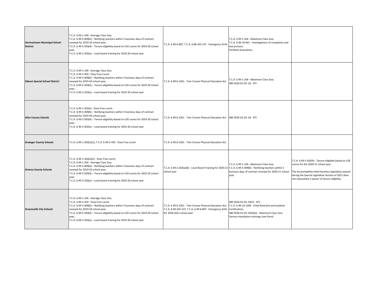| <b>Germantown Municipal School</b><br><b>District</b> | T.C.A. § 49-1-104 - Average Class Size;<br>T.C.A. § 49-5-409(b) - Notifying teachers within 5 business days of contract<br>renewal for 2019-20 school year;<br>T.C.A. § 49-5-503(4) - Tenure eligibility based on LOE scores for 2019-20 school<br>year;<br>T.C.A. § 49-2-202(a) - Local board training for 2019-20 school year                                               | T.C.A. § 49-6-807, T.C.A. § 68-102-137 - Emergency Drill:                                                                                                                                                            | T.C.A. § 49-1-104 - Maximum Class Size;<br>T.C.A. § 49-10-601 - Investigations of complaints and<br>due process;<br>Portfolio Evaluations |                                                                                                                                                                                                                                                              |
|-------------------------------------------------------|-------------------------------------------------------------------------------------------------------------------------------------------------------------------------------------------------------------------------------------------------------------------------------------------------------------------------------------------------------------------------------|----------------------------------------------------------------------------------------------------------------------------------------------------------------------------------------------------------------------|-------------------------------------------------------------------------------------------------------------------------------------------|--------------------------------------------------------------------------------------------------------------------------------------------------------------------------------------------------------------------------------------------------------------|
| <b>Gibson Special School District</b>                 | T.C.A. § 49-1-104 - Average Class Size;<br>T.C.A. § 49-3-359 - Duty Free Lunch;<br>T.C.A. § 49-5-409(b) - Notifying teachers within 5 business days of contract<br>renewal for 2019-20 school year;<br>T.C.A. § 49-5-503(4) - Tenure eligibility based on LOE scores for 2019-20 school<br>year;<br>T.C.A. § 49-2-202(a) - Local board training for 2019-20 school year       | T.C.A. § 49-6-1021 - Tom Cronan Physical Education Act                                                                                                                                                               | T.C.A. § 49-1-104 - Maximum Class Size;<br>SBE 0520-01-03-.03 - RTI                                                                       |                                                                                                                                                                                                                                                              |
| <b>Giles County Schools</b>                           | T.C.A. § 49-1-302(e) - Duty Free Lunch;<br>T.C.A. § 49-5-409(b) - Notifying teachers within 5 business days of contract<br>renewal for 2019-20 school year;<br>T.C.A. § 49-5-503(4) - Tenure eligibility based on LOE scores for 2019-20 school<br>year;<br>T.C.A. § 49-2-202(a) - Local board training for 2019-20 school year                                               | T.C.A. § 49-6-1021 - Tom Cronan Physical Education Act                                                                                                                                                               | SBE 0520-01-03-.03 - RTI                                                                                                                  |                                                                                                                                                                                                                                                              |
| <b>Grainger County Schools</b>                        | T.C.A. § 49-1-302(e)(1), T.C.A. § 49-3-359 - Duty Free Lunch                                                                                                                                                                                                                                                                                                                  | T.C.A. § 49-6-1021 - Tom Cronan Physical Education Act                                                                                                                                                               |                                                                                                                                           |                                                                                                                                                                                                                                                              |
| <b>Greene County Schools</b>                          | T.C.A. § 49-1-302(e)(1) - Duty Free Lunch;<br>T.C.A. § 49-1-104 - Average Class Size;<br>T.C.A. § 49-5-409(b) - Notifying teachers within 5 business days of contract<br>renewal for 2019-20 school year;<br>T.C.A. § 49-5-503(4) - Tenure eligibility based on LOE scores for 2019-20 school<br>year;<br>T.C.A. § 49-2-202(a) - Local board training for 2019-20 school year | T.C.A. § 49-2-202(a)(6) - Local Board Training for 2020-21 T.C.A. § 49-5-409(b) - Notifying teachers within 5<br>school year                                                                                         | T.C.A. § 49-1-104 - Maximum Class Size;<br>business days of contract renewal for 2020-21 school<br>year                                   | T.C.A. § 49-5-503(4) - Tenure eligibilty based on LOE<br>scores for the 2020-21 school year.<br>The Accountability Hold Harmless legislation passed<br>during the Special Legislative Session of 2021 does<br>not necessitate a waiver of tenure eligbility. |
| <b>Greeneville City Schools</b>                       | T.C.A. § 49-1-104 - Average Class Size;<br>T.C.A. § 49-3-359 - Duty Free Lunch;<br>T.C.A. § 49-5-409(b) - Notifying teachers within 5 business days of contract<br>renewal for 2019-20 school year;<br>T.C.A. § 49-5-503(4) - Tenure eligibility based on LOE scores for 2019-20 school<br>year;<br>T.C.A. § 49-2-202(a) - Local board training for 2019-20 school year       | T.C.A. § 49-6-1021 - Tom Cronan Physical Education Act; T.C.A. § 49-10-1304 - Child Restraint and Isolation<br>T.C.A. § 68-102-137, T.C.A. § 49-6-807 - Emergency drills Certification;<br>for 2020-2021 school year | SBE 0520-01-03-.03(7) - RTI;<br>SBE 0520-01-03-.03(3)(a) - Maximum Class Size;<br>Various mandatory trainings (see form)                  |                                                                                                                                                                                                                                                              |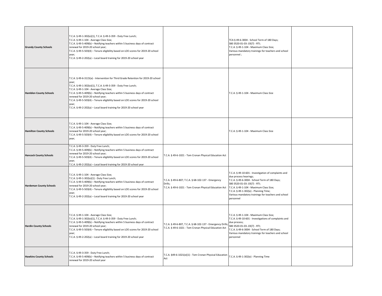| <b>Grundy County Schools</b>   | T.C.A. § 49-1-302(e)(1), T.C.A. § 49-3-359 - Duty Free Lunch;<br>T.C.A. § 49-1-104 - Average Class Size;<br>T.C.A. § 49-5-409(b) - Notifying teachers within 5 business days of contract<br>renewal for 2019-20 school year;<br>T.C.A. § 49-5-503(4) - Tenure eligibility based on LOE scores for 2019-20 school<br>year;<br>T.C.A. § 49-2-202(a) - Local board training for 2019-20 school year                                                                                               |                                                                                                                         | TCA § 49-6-3004 - School Term of 180 Days;<br>SBE 0520-01-03-.03(7) - RTI;<br>T.C.A. § 49-1-104 - Maximum Class Size;<br>Various mandatory trainings for teachers and school<br>personnel;                                                                                                                             |  |
|--------------------------------|------------------------------------------------------------------------------------------------------------------------------------------------------------------------------------------------------------------------------------------------------------------------------------------------------------------------------------------------------------------------------------------------------------------------------------------------------------------------------------------------|-------------------------------------------------------------------------------------------------------------------------|------------------------------------------------------------------------------------------------------------------------------------------------------------------------------------------------------------------------------------------------------------------------------------------------------------------------|--|
| <b>Hamblen County Schools</b>  | T.C.A. § 49-6-3115(a) - Intervention for Third Grade Retention for 2019-20 school<br>year:<br>T.C.A. § 49-1-302(e)(1), T.C.A. § 49-3-359 - Duty Free Lunch;<br>T.C.A. § 49-1-104 - Average Class Size;<br>T.C.A. § 49-5-409(b) - Notifying teachers within 5 business days of contract<br>renewal for 2019-20 school year;<br>T.C.A. § 49-5-503(4) - Tenure eligibility based on LOE scores for 2019-20 school<br>year;<br>T.C.A. § 49-2-202(a) - Local board training for 2019-20 school year |                                                                                                                         | T.C.A. § 49-1-104 - Maximum Class Size                                                                                                                                                                                                                                                                                 |  |
| <b>Hamilton County Schools</b> | T.C.A. § 49-1-104 - Average Class Size;<br>T.C.A. § 49-5-409(b) - Notifying teachers within 5 business days of contract<br>renewal for 2019-20 school year;<br>T.C.A. § 49-5-503(4) - Tenure eligibility based on LOE scores for 2019-20 school<br>year;                                                                                                                                                                                                                                       |                                                                                                                         | T.C.A. § 49-1-104 - Maximum Class Size                                                                                                                                                                                                                                                                                 |  |
| <b>Hancock County Schools</b>  | T.C.A. § 49-3-359 - Duty Free Lunch;<br>T.C.A. § 49-5-409(b) - Notifying teachers within 5 business days of contract<br>renewal for 2019-20 school year;<br>T.C.A. § 49-5-503(4) - Tenure eligibility based on LOE scores for 2019-20 school<br>year;<br>T.C.A. § 49-2-202(a) - Local board training for 2019-20 school year                                                                                                                                                                   | T.C.A. § 49-6-1021 - Tom Cronan Physical Education Act                                                                  |                                                                                                                                                                                                                                                                                                                        |  |
| <b>Hardeman County Schools</b> | T.C.A. § 49-1-104 - Average Class Size;<br>T.C.A. § 49-1-302(e)(1) - Duty Free Lunch;<br>T.C.A. § 49-5-409(b) - Notifying teachers within 5 business days of contract<br>renewal for 2019-20 school year;<br>T.C.A. § 49-5-503(4) - Tenure eligibility based on LOE scores for 2019-20 school<br>year;<br>T.C.A. § 49-2-202(a) - Local board training for 2019-20 school year                                                                                                                  | T.C.A. § 49-6-807; T.C.A. § 68-102-137 - Emergency<br>Drills;<br>T.C.A. § 49-6-1021 - Tom Cronan Physical Education Act | T.C.A. § 49-10-601 - Investigation of complaints and<br>due process hearings;<br>T.C.A. § 49-6-3004 - School Term of 180 Days;<br>SBE 0520-01-03-.03(7) - RTI;<br>T.C.A. § 49-1-104 - Maximum Class Size;<br>T.C.A. § 49-1-302(e) - Planning Time;<br>Various mandatory trainings for teachers and school<br>personnel |  |
| <b>Hardin County Schools</b>   | T.C.A. § 49-1-104 - Average Class Size;<br>T.C.A. § 49-1-302(e)(1), T.C.A. § 49-3-359 - Duty Free Lunch;<br>T.C.A. § 49-5-409(b) - Notifying teachers within 5 business days of contract<br>renewal for 2019-20 school year;<br>T.C.A. § 49-5-503(4) - Tenure eligibility based on LOE scores for 2019-20 school<br>year;<br>T.C.A. § 49-2-202(a) - Local board training for 2019-20 school year                                                                                               | T.C.A. § 49-6-807, T.C.A. § 68-102-137 - Emergency Drills<br>T.C.A. § 49-6-1021 - Tom Cronan Physical Education Act     | T.C.A. § 49-1-104 - Maximum Class Size;<br>T.C.A. § 49-10-601 - Investigations of complaints and<br>due process;<br>SBE 0520-01-03-.03(7) - RTI;<br>T.C.A. § 49-6-3004 - School Term of 180 Days;<br>Various mandatory trainings for teachers and school<br>personnel                                                  |  |
| <b>Hawkins County Schools</b>  | T.C.A. § 49-3-359 - Duty Free Lunch;<br>T.C.A. § 49-5-409(b) - Notifying teachers within 5 business days of contract<br>renewal for 2019-20 school year                                                                                                                                                                                                                                                                                                                                        | T.C.A. §49-6-1021(e)(1) - Tom Cronan Physical Education<br>Act                                                          | T.C.A. § 49-1-302(e) - Planning Time                                                                                                                                                                                                                                                                                   |  |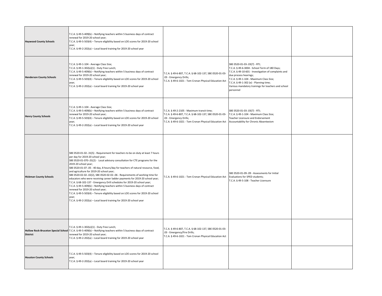| <b>Haywood County Schools</b>   | T.C.A. § 49-5-409(b) - Notifying teachers within 5 business days of contract<br>renewal for 2019-20 school year;<br>T.C.A. § 49-5-503(4) - Tenure eligibility based on LOE scores for 2019-20 school<br>vear:<br>T.C.A. § 49-2-202(a) - Local board training for 2019-20 school year                                                                                                                                                                                                                                                                                                                                                                                                                                                                                                                                                                                                             |                                                                                                                                                                                            |                                                                                                                                                                                                                                                                                                                         |  |
|---------------------------------|--------------------------------------------------------------------------------------------------------------------------------------------------------------------------------------------------------------------------------------------------------------------------------------------------------------------------------------------------------------------------------------------------------------------------------------------------------------------------------------------------------------------------------------------------------------------------------------------------------------------------------------------------------------------------------------------------------------------------------------------------------------------------------------------------------------------------------------------------------------------------------------------------|--------------------------------------------------------------------------------------------------------------------------------------------------------------------------------------------|-------------------------------------------------------------------------------------------------------------------------------------------------------------------------------------------------------------------------------------------------------------------------------------------------------------------------|--|
| <b>Henderson County Schools</b> | T.C.A. § 49-1-104 - Average Class Size;<br>T.C.A. § 49-1-302(e)(1) - Duty Free Lunch;<br>T.C.A. § 49-5-409(b) - Notifying teachers within 5 business days of contract<br>renewal for 2019-20 school year;<br>T.C.A. § 49-5-503(4) - Tenure eligibility based on LOE scores for 2019-20 school<br>year;<br>T.C.A. § 49-2-202(a) - Local board training for 2019-20 school year                                                                                                                                                                                                                                                                                                                                                                                                                                                                                                                    | T.C.A. § 49-6-807, T.C.A. § 68-102-137, SBE 0520-01-03-<br>.03 - Emergency Drills;<br>T.C.A. § 49-6-1021 - Tom Cronan Physical Education Act                                               | SBE 0520-01-03-.03(7) - RTI;<br>T.C.A. § 49-6-3004 - School Term of 180 Days;<br>T.C.A. § 49-10-601 - Investigation of complaints and<br>due process hearings;<br>T.C.A. § 49-1-104 - Maximum Class Size;<br>T.C.A. § 49-1-302 (e) - Planning time;<br>Various mandatory trainings for teachers and school<br>personnel |  |
| <b>Henry County Schools</b>     | T.C.A. § 49-1-104 - Average Class Size;<br>T.C.A. § 49-5-409(b) - Notifying teachers within 5 business days of contract<br>renewal for 2019-20 school year;<br>T.C.A. § 49-5-503(4) - Tenure eligibility based on LOE scores for 2019-20 school<br>year;<br>T.C.A. § 49-2-202(a) - Local board training for 2019-20 school year                                                                                                                                                                                                                                                                                                                                                                                                                                                                                                                                                                  | T.C.A. § 49-2-2105 - Maximum transit time;<br>T.C.A. § 49-6-807, T.C.A. § 68-102-137, SBE 0520-01-03-<br>.03 - Emergency Drills;<br>T.C.A. § 49-6-1021 - Tom Cronan Physical Education Act | SBE 0520-01-03-.03(7) - RTI;<br>T.C.A. § 49-1-104 - Maximum Class Size;<br>Teacher Licensure and Endorsement<br>Accountability for Chronic Absenteeism                                                                                                                                                                  |  |
| <b>Hickman County Schools</b>   | SBE 0520-01-02-.31(5) - Requirement for teachers to be on duty at least 7 hours<br>per day for 2019-20 school year;<br>SBE 0520-01-070-.01(2) - Local advisory consultation for CTE programs for the<br>2019-20 school year;<br>SBE 0520-01-07-.05 - 40 day, 8 hours/day for teachers of natural resource, food,<br>and agriculture for 2019-20 school year;<br>SBE 0520-02-02-.02(2), SBE 0520-02-02-.06 - Requirements of working time for<br>educators who were receiving career ladder payments for 2019-20 school year;<br>T.C.A. § 68-102-137 - Emergency Drill schedules for 2019-20 school year;<br>T.C.A. § 49-5-409(b) - Notifying teachers within 5 business days of contract<br>renewal for 2019-20 school year;<br>T.C.A. § 49-5-503(4) - Tenure eligibility based on LOE scores for 2019-20 school<br>year;<br>T.C.A. § 49-2-202(a) - Local board training for 2019-20 school year | T.C.A. § 49-6-1021 - Tom Cronan Physical Education Act                                                                                                                                     | SBE 0520-01-09-.09 - Assessments for Initial<br>Evaluations for SPED students;<br>T.C.A. § 49-5-108 - Teacher Licensure                                                                                                                                                                                                 |  |
| <b>District</b>                 | T.C.A. § 49-1-302(e)(1) - Duty Free Lunch;<br>Hollow Rock-Bruceton Special School T.C.A. § 49-5-409(b) - Notifying teachers within 5 business days of contract<br>renewal for 2019-20 school year;<br>T.C.A. § 49-2-202(a) - Local board training for 2019-20 school year                                                                                                                                                                                                                                                                                                                                                                                                                                                                                                                                                                                                                        | T.C.A. § 49-6-807, T.C.A. § 68-102-137, SBE 0520-01-03-<br>.03 - Emergency/Fire Drills;<br>T.C.A. § 49-6-1021 - Tom Cronan Physical Education Act                                          |                                                                                                                                                                                                                                                                                                                         |  |
| <b>Houston County Schools</b>   | T.C.A. § 49-5-503(4) - Tenure eligibility based on LOE scores for 2019-20 school<br>year;<br>T.C.A. § 49-2-202(a) - Local board training for 2019-20 school year                                                                                                                                                                                                                                                                                                                                                                                                                                                                                                                                                                                                                                                                                                                                 |                                                                                                                                                                                            |                                                                                                                                                                                                                                                                                                                         |  |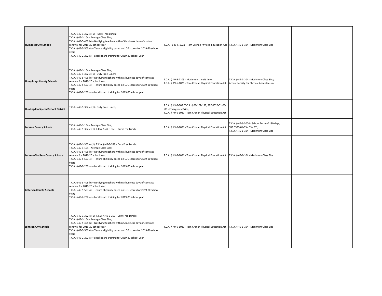| <b>Humboldt City Schools</b>              | T.C.A. § 49-1-302(e)(1) - Duty Free Lunch;<br>T.C.A. § 49-1-104 - Average Class Size;<br>T.C.A. § 49-5-409(b) - Notifying teachers within 5 business days of contract<br>renewal for 2019-20 school year;<br>T.C.A. § 49-5-503(4) - Tenure eligibility based on LOE scores for 2019-20 school<br>year;<br>T.C.A. § 49-2-202(a) - Local board training for 2019-20 school year                    | T.C.A. § 49-6-1021 - Tom Cronan Physical Education Act   T.C.A. § 49-1-104 - Maximum Class Size                                              |                                                                                                                       |  |
|-------------------------------------------|--------------------------------------------------------------------------------------------------------------------------------------------------------------------------------------------------------------------------------------------------------------------------------------------------------------------------------------------------------------------------------------------------|----------------------------------------------------------------------------------------------------------------------------------------------|-----------------------------------------------------------------------------------------------------------------------|--|
| <b>Humphreys County Schools</b>           | T.C.A. § 49-1-104 - Average Class Size;<br>T.C.A. § 49-1-302(e)(1) - Duty Free Lunch;<br>T.C.A. § 49-5-409(b) - Notifying teachers within 5 business days of contract<br>renewal for 2019-20 school year;<br>T.C.A. § 49-5-503(4) - Tenure eligibility based on LOE scores for 2019-20 school<br>year;<br>T.C.A. § 49-2-202(a) - Local board training for 2019-20 school year                    | T.C.A. § 49-6-2105 - Maximum transit time;<br>T.C.A. § 49-6-1021 - Tom Cronan Physical Education Act                                         | T.C.A. § 49-1-104 - Maximum Class Size;<br>Accountability for Chronic Absenteeism                                     |  |
| <b>Huntingdon Special School District</b> | T.C.A. § 49-1-302(e)(1) - Duty Free Lunch;                                                                                                                                                                                                                                                                                                                                                       | T.C.A. § 49-6-807, T.C.A. § 68-102-137, SBE 0520-01-03-<br>.03 - Emergency Drills;<br>T.C.A. § 49-6-1021 - Tom Cronan Physical Education Act |                                                                                                                       |  |
| lackson County Schools                    | T.C.A. § 49-1-104 - Average Class Size;<br>T.C.A. § 49-1-302(e)(1), T.C.A. § 49-3-359 - Duty Free Lunch                                                                                                                                                                                                                                                                                          | T.C.A. § 49-6-1021 - Tom Cronan Physical Education Act                                                                                       | T.C.A. § 49-6-3004 - School Term of 180 days;<br>SBE 0520-01-03 -.03 - RTI;<br>T.C.A. § 49-1-104 - Maximum Class Size |  |
| Jackson-Madison County Schools            | T.C.A. § 49-1-302(e)(1), T.C.A. § 49-3-359 - Duty Free Lunch;<br>T.C.A. § 49-1-104 - Average Class Size;<br>T.C.A. § 49-5-409(b) - Notifying teachers within 5 business days of contract<br>renewal for 2019-20 school year;<br>T.C.A. § 49-5-503(4) - Tenure eligibility based on LOE scores for 2019-20 school<br>year;<br>T.C.A. § 49-2-202(a) - Local board training for 2019-20 school year | T.C.A. § 49-6-1021 - Tom Cronan Physical Education Act                                                                                       | T.C.A. § 49-1-104 - Maximum Class Size                                                                                |  |
| Jefferson County Schools                  | T.C.A. § 49-5-409(b) - Notifying teachers within 5 business days of contract<br>renewal for 2019-20 school year;<br>T.C.A. § 49-5-503(4) - Tenure eligibility based on LOE scores for 2019-20 school<br>year;<br>T.C.A. § 49-2-202(a) - Local board training for 2019-20 school year                                                                                                             |                                                                                                                                              |                                                                                                                       |  |
| <b>Johnson City Schools</b>               | T.C.A. § 49-1-302(e)(1), T.C.A. § 49-3-359 - Duty Free Lunch;<br>T.C.A. § 49-1-104 - Average Class Size;<br>T.C.A. § 49-5-409(b) - Notifying teachers within 5 business days of contract<br>renewal for 2019-20 school year;<br>T.C.A. § 49-5-503(4) - Tenure eligibility based on LOE scores for 2019-20 school<br>year;<br>T.C.A. § 49-2-202(a) - Local board training for 2019-20 school year | T.C.A. § 49-6-1021 - Tom Cronan Physical Education Act                                                                                       | T.C.A. § 49-1-104 - Maximum Class Size                                                                                |  |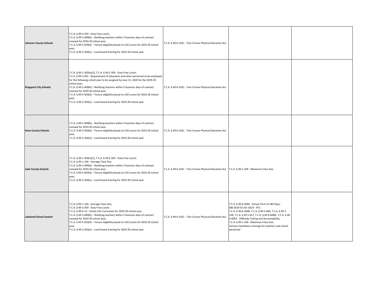| <b>Johnson County Schools</b> | T.C.A. § 49-3-359 - Duty Free Lunch;<br>T.C.A. § 49-5-409(b) - Notifying teachers within 5 business days of contract<br>renewal for 2019-20 school year;<br>T.C.A. § 49-5-503(4) - Tenure eligibility based on LOE scores for 2019-20 school<br>year;<br>T.C.A. § 49-2-202(a) - Local board training for 2019-20 school year                                                                                                                                                                                                              | T.C.A. § 49-6-1021 - Tom Cronan Physical Education Act |                                                                                                                                                                                                                                                                                                                                                                   |  |
|-------------------------------|-------------------------------------------------------------------------------------------------------------------------------------------------------------------------------------------------------------------------------------------------------------------------------------------------------------------------------------------------------------------------------------------------------------------------------------------------------------------------------------------------------------------------------------------|--------------------------------------------------------|-------------------------------------------------------------------------------------------------------------------------------------------------------------------------------------------------------------------------------------------------------------------------------------------------------------------------------------------------------------------|--|
| <b>Kingsport City Schools</b> | T.C.A. § 49-1-302(e)(1), T.C.A. § 49-3-359 - Duty Free Lunch;<br>T.C.A. § 49-5-401 - Requirement of educators and other personnel to be employed<br>for the following school year to be assigned by June 15, 2020 for the 2019-20<br>school year;<br>T.C.A. § 49-5-409(b) - Notifying teachers within 5 business days of contract<br>renewal for 2019-20 school year;<br>T.C.A. § 49-5-503(4) - Tenure eligibility based on LOE scores for 2019-20 school<br>year;<br>T.C.A. § 49-2-202(a) - Local board training for 2019-20 school year | T.C.A. § 49-6-1021 - Tom Cronan Physical Education Act |                                                                                                                                                                                                                                                                                                                                                                   |  |
| <b>Knox County Schools</b>    | T.C.A. § 49-5-409(b) - Notifying teachers within 5 business days of contract<br>renewal for 2019-20 school year;<br>T.C.A. § 49-5-503(4) - Tenure eligibility based on LOE scores for 2019-20 school<br>year;<br>T.C.A. § 49-2-202(a) - Local board training for 2019-20 school year                                                                                                                                                                                                                                                      | T.C.A. § 49-6-1021 - Tom Cronan Physical Education Act |                                                                                                                                                                                                                                                                                                                                                                   |  |
| <b>Lake County Schools</b>    | T.C.A. § 49-1-302(e)(1), T.C.A. § 49-3-359 - Duty Free Lunch;<br>T.C.A. § 49-1-104 - Average Class Size;<br>T.C.A. § 49-5-409(b) - Notifying teachers within 5 business days of contract<br>renewal for 2019-20 school year;<br>T.C.A. § 49-5-503(4) - Tenure eligibility based on LOE scores for 2019-20 school<br>year;<br>T.C.A. § 49-2-202(a) - Local board training for 2019-20 school year                                                                                                                                          | T.C.A. § 49-6-1021 - Tom Cronan Physical Education Act | T.C.A. § 49-1-104 - Maximum Class Size                                                                                                                                                                                                                                                                                                                            |  |
| <b>Lakeland School System</b> | T.C.A. § 49-1-104 - Average Class Size;<br>T.C.A. § 49-3-359 - Duty Free Lunch;<br>T.C.A. § 49-6-13 - Family Life Curriculum for 2019-20 school year;<br>T.C.A. § 49-5-409(b) - Notifying teachers within 5 business days of contract<br>renewal for 2019-20 school year;<br>T.C.A. § 49-5-503(4) - Tenure eligibility based on LOE scores for 2019-20 school<br>year;<br>T.C.A. § 49-2-202(a) - Local board training for 2019-20 school year                                                                                             | T.C.A. § 49-6-1021 - Tom Cronan Physical Education Act | T.C.A. § 49-6-3004 - School Term of 180 Days;<br>SBE 0520-01-03-.03(7) - RTI;<br>T.C.A. § 49-6-2606; T.C.A. § 49-1-606, T.C.A. § 49-1-<br>228, T.C.A. § 49-1-617, T.C.A. § 49-6-6008, T.C.A. § 49-<br>6-6003 - TNReady Testing and Accountability;<br>T.C.A. § 49-1-104 - Maximum Class Size;<br>Various mandatory trainings for teachers and school<br>personnel |  |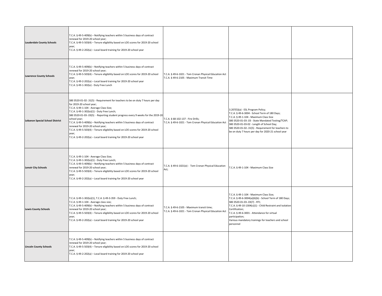| <b>Lauderdale County Schools</b>       | T.C.A. § 49-5-409(b) - Notifying teachers within 5 business days of contract<br>renewal for 2019-20 school year;<br>T.C.A. § 49-5-503(4) - Tenure eligibility based on LOE scores for 2019-20 school<br>year;<br>T.C.A. § 49-2-202(a) - Local board training for 2019-20 school year                                                                                                                                                                                                                                                                                                            |                                                                                                      |                                                                                                                                                                                                                                                                                                                                                       |  |
|----------------------------------------|-------------------------------------------------------------------------------------------------------------------------------------------------------------------------------------------------------------------------------------------------------------------------------------------------------------------------------------------------------------------------------------------------------------------------------------------------------------------------------------------------------------------------------------------------------------------------------------------------|------------------------------------------------------------------------------------------------------|-------------------------------------------------------------------------------------------------------------------------------------------------------------------------------------------------------------------------------------------------------------------------------------------------------------------------------------------------------|--|
| <b>Lawrence County Schools</b>         | T.C.A. § 49-5-409(b) - Notifying teachers within 5 business days of contract<br>renewal for 2019-20 school year;<br>T.C.A. § 49-5-503(4) - Tenure eligibility based on LOE scores for 2019-20 school<br>year;<br>T.C.A. § 49-2-202(a) - Local board training for 2019-20 school year<br>T.C.A. § 49-1-302(e) - Duty Free Lunch                                                                                                                                                                                                                                                                  | T.C.A. § 49-6-1021 - Tom Cronan Physical Education Act<br>T.C.A. § 49-6-2105 - Maximum Transit Time  |                                                                                                                                                                                                                                                                                                                                                       |  |
| <b>Lebanon Special School District</b> | SBE 0520-01-02-.31(5) - Requirement for teachers to be on duty 7 hours per day<br>for 2019-20 school year;<br>T.C.A. § 49-1-104 - Average Class Size;<br>T.C.A. § 49-1-302(e)(1) - Duty Free Lunch;<br>SBE 0520-01-03-.03(5) - Reporting student progress every 9 weeks for the 2019-20<br>school year;<br>T.C.A. § 49-5-409(b) - Notifying teachers within 5 business days of contract<br>renewal for 2019-20 school year;<br>T.C.A. § 49-5-503(4) - Tenure eligibility based on LOE scores for 2019-20 school<br>year;<br>T.C.A. § 49-2-202(a) - Local board training for 2019-20 school year | T.C.A. § 68-102-137 - Fire Drills;<br>T.C.A. § 49-6-1021 - Tom Cronan Physical Education Act         | 3.207(5)(a) - ESL Program Policy;<br>T.C.A. § 49-6-3004 - School Term of 180 Days;<br>T.C.A. § 49-1-104 - Maximum Class Size<br>SBE 0520-01-03-.03 - State Mandated Testing/TCAP;<br>SBE 0520-01-03-02 - Length of School Day;<br>SBE 0520-01-02-.31(5) - Requirement for teachers to<br>be on duty 7 hours per day for 2020-21 school year           |  |
| <b>Lenoir City Schools</b>             | T.C.A. § 49-1-104 - Average Class Size;<br>T.C.A. § 49-1-302(e)(1) - Duty Free Lunch;<br>T.C.A. § 49-5-409(b) - Notifying teachers within 5 business days of contract<br>renewal for 2019-20 school year;<br>T.C.A. § 49-5-503(4) - Tenure eligibility based on LOE scores for 2019-20 school<br>year;<br>T.C.A. § 49-2-202(a) - Local board training for 2019-20 school year                                                                                                                                                                                                                   | T.C.A. § 49-6-1021(e) - Tom Cronan Physical Education<br>Act;                                        | T.C.A. § 49-1-104 - Maximum Class Size                                                                                                                                                                                                                                                                                                                |  |
| <b>Lewis County Schools</b>            | T.C.A. § 49-1-302(e)(1), T.C.A. § 49-3-359 - Duty Free Lunch;<br>T.C.A. § 49-1-104 - Average class size;<br>T.C.A. § 49-5-409(b) - Notifying teachers within 5 business days of contract<br>renewal for 2019-20 school year;<br>T.C.A. § 49-5-503(4) - Tenure eligibility based on LOE scores for 2019-20 school<br>year;<br>T.C.A. § 49-2-202(a) - Local board training for 2019-20 school year                                                                                                                                                                                                | T.C.A. § 49-6-2105 - Maximum transit time;<br>T.C.A. § 49-6-1021 - Tom Cronan Physical Education Act | T.C.A. § 49-1-104 - Maximum Class Size;<br>T.C.A. § 49-6-3004(a)(6)(b) - School Term of 180 Days;<br>SBE 0520-01-03-.03(7) - RTI;<br>T.C.A. § 49-10-1304(c)(1) - Child Restraint and Isolation<br>Certification;<br>T.C.A. § 49-6-3001 - Attendance for virtual<br>participation;<br>Various mandatory trainings for teachers and school<br>personnel |  |
| <b>Lincoln County Schools</b>          | T.C.A. § 49-5-409(b) - Notifying teachers within 5 business days of contract<br>renewal for 2019-20 school year;<br>T.C.A. § 49-5-503(4) - Tenure eligibility based on LOE scores for 2019-20 school<br>year;<br>T.C.A. § 49-2-202(a) - Local board training for 2019-20 school year                                                                                                                                                                                                                                                                                                            |                                                                                                      |                                                                                                                                                                                                                                                                                                                                                       |  |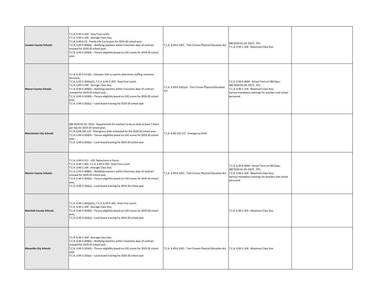| <b>Loudon County Schools</b>   | T.C.A. § 49-3-359 - Duty Free Lunch;<br>T.C.A. § 49-1-104 - Average Class Size;<br>T.C.A. § 49-6-13 - Family Life Curriculum for 2019-20 school year;<br>T.C.A. § 49-5-409(b) - Notifying teachers within 5 business days of contract<br>renewal for 2019-20 school year;<br>T.C.A. § 49-5-503(4) - Tenure eligibility based on LOE scores for 2019-20 school<br>year;                                                                                                                        | T.C.A. § 49-6-1021 - Tom Cronan Physical Education Act       | SBE 0520-01-03-.03(7) - RTI;<br>T.C.A. § 49-1-104 - Maximum Class Size                                                                                                                       |  |
|--------------------------------|-----------------------------------------------------------------------------------------------------------------------------------------------------------------------------------------------------------------------------------------------------------------------------------------------------------------------------------------------------------------------------------------------------------------------------------------------------------------------------------------------|--------------------------------------------------------------|----------------------------------------------------------------------------------------------------------------------------------------------------------------------------------------------|--|
| <b>Macon County Schools</b>    | T.C.A. § 49-5-511(b) - Educator LOE as used to determine staffing reduction<br>decisions;<br>T.C.A. § 49-1-302(e)(1), T.C.A. § 49-3-359 - Duty Free Lunch;<br>T.C.A. § 49-1-104 - Average Class Size;<br>T.C.A. § 49-5-409(b) - Notifying teachers within 5 business days of contract<br>renewal for 2019-20 school year;<br>T.C.A. § 49-5-503(4) - Tenure eligibility based on LOE scores for 2019-20 school<br>year;<br>T.C.A. § 49-2-202(a) - Local board training for 2019-20 school year | T.C.A. § 49-6-1021(e) - Tom Cronan Physical Education<br>Act | T.C.A. § 49-6-3004 - School Term of 180 Days;<br>SBE 0520-01-03-.03(7) - RTI;<br>T.C.A. § 49-1-104 - Maximum Class Size;<br>Various mandatory trainings for teachers and school<br>personnel |  |
| <b>Manchester City Schools</b> | SBE 0520-01-02-.31(5) - Requirement for teachers to be on duty at least 7 hours<br>per day for 2019-20 school year;<br>T.C.A. § 68-102-137 - Emergency drills scheduled for the 2019-20 school year;<br>T.C.A. § 49-5-503(4) - Tenure eligibility based on LOE scores for 2019-20 school<br>year;<br>T.C.A. § 49-2-202(a) - Local board training for 2019-20 school year                                                                                                                      | T.C.A. § 68-102-137 - Emergency Drills                       |                                                                                                                                                                                              |  |
| <b>Marion County Schools</b>   | T.C.A. § 49-5-511 - LOE, Reductions in Force;<br>T.C.A. § 49-1-302, T.C.A. § 49-3-359 - Duty Free Lunch;<br>T.C.A. § 49-1-104 - Average Class Size;<br>T.C.A. § 49-5-409(b) - Notifying teachers within 5 business days of contract<br>renewal for 2019-20 school year;<br>T.C.A. § 49-5-503(4) - Tenure eligibility based on LOE scores for 2019-20 school<br>year;<br>T.C.A. § 49-2-202(a) - Local board training for 2019-20 school year                                                   | T.C.A. § 49-6-1021 - Tom Cronan Physical Education Act       | T.C.A. § 49-6-3004 - School Term of 180 Days;<br>SBE 0520-01-03-.03(7) - RTI;<br>T.C.A. § 49-1-104 - Maximum Class Size;<br>Various mandatory trainings for teachers and school<br>personnel |  |
| <b>Marshall County Schools</b> | T.C.A. § 49-1-302(e)(1), T.C.A. § 49-3-359 - Duty Free Lunch;<br>T.C.A. § 49-1-104 - Average Class Size;<br>T.C.A. § 49-5-503(4) - Tenure eligibility based on LOE scores for 2019-20 school<br>year;<br>T.C.A. § 49-2-202(a) - Local board training for 2019-20 school year                                                                                                                                                                                                                  |                                                              | T.C.A. § 49-1-104 - Maximum Class Size                                                                                                                                                       |  |
| <b>Maryville City Schools</b>  | T.C.A. § 49-1-104 - Average Class Size;<br>T.C.A. § 49-5-409(b) - Notifying teachers within 5 business days of contract<br>renewal for 2019-20 school year;<br>T.C.A. § 49-5-503(4) - Tenure eligibility based on LOE scores for 2019-20 school<br>year;<br>T.C.A. § 49-2-202(a) - Local board training for 2019-20 school year                                                                                                                                                               | T.C.A. § 49-6-1021 - Tom Cronan Physical Education Act       | T.C.A. § 49-1-104 - Maximum Class Size                                                                                                                                                       |  |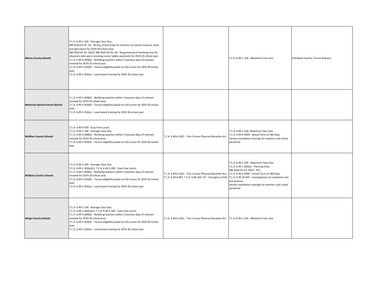| <b>Maury County Schools</b>             | T.C.A. § 49-1-104 - Average Class Size;<br>SBE 0520-01-07-.05 - 40 day, 8 hours/day for teachers of natural resource, food,<br>and agriculture for 2019-20 school year;<br>SBE 0520-02-02-.02(2), SBE 0520-02-02-.06 - Requirements of working time for<br>educators who were receiving career ladder payments for 2019-20 school year;<br>T.C.A. § 49-5-409(b) - Notifying teachers within 5 business days of contract<br>renewal for 2019-20 school year;<br>T.C.A. § 49-5-503(4) - Tenure eligibility based on LOE scores for 2019-20 school<br>year;<br>T.C.A. § 49-2-202(a) - Local board training for 2019-20 school year |                                                                                                                                                                            | T.C.A. § 49-1-104 - Maximum Class Size                                                                                                                                                                                                                | Individual Teacher Tenure Request |
|-----------------------------------------|---------------------------------------------------------------------------------------------------------------------------------------------------------------------------------------------------------------------------------------------------------------------------------------------------------------------------------------------------------------------------------------------------------------------------------------------------------------------------------------------------------------------------------------------------------------------------------------------------------------------------------|----------------------------------------------------------------------------------------------------------------------------------------------------------------------------|-------------------------------------------------------------------------------------------------------------------------------------------------------------------------------------------------------------------------------------------------------|-----------------------------------|
| <b>McKenzie Special School District</b> | T.C.A. § 49-5-409(b) - Notifying teachers within 5 business days of contract<br>renewal for 2019-20 school year;<br>T.C.A. § 49-5-503(4) - Tenure eligibility based on LOE scores for 2019-20 school<br>year;<br>T.C.A. § 49-2-202(a) - Local board training for 2019-20 school year                                                                                                                                                                                                                                                                                                                                            |                                                                                                                                                                            |                                                                                                                                                                                                                                                       |                                   |
| <b>McMinn County Schools</b>            | T.C.A. § 49-3-359 - Duty Free Lunch;<br>T.C.A. § 49-1-104 - Average Class Size;<br>T.C.A. § 49-5-409(b) - Notifying teachers within 5 business days of contract<br>renewal for 2019-20 school year;<br>T.C.A. § 49-5-503(4) - Tenure eligibility based on LOE scores for 2019-20 school<br>year                                                                                                                                                                                                                                                                                                                                 | T.C.A. § 49-6-1021 - Tom Cronan Physical Education Act                                                                                                                     | T.C.A. § 49-1-104- Maximum Class Size;<br>T.C.A. § 49-6-3004 - School Term of 180 Days;<br>Various mandatory trainings for teachers and school<br>personnel                                                                                           |                                   |
| <b>McNairy County Schools</b>           | T.C.A. § 49-1-104 - Average Class Size;<br>T.C.A. § 49-1-302(e)(1), T.C.A. § 49-3-359 - Duty Free Lunch;<br>T.C.A. § 49-5-409(b) - Notifying teachers within 5 business days of contract<br>renewal for 2019-20 school year;<br>T.C.A. § 49-5-503(4) - Tenure eligibility based on LOE scores for 2019-20 school<br>year;<br>T.C.A. § 49-2-202(a) - Local board training for 2019-20 school year                                                                                                                                                                                                                                | T.C.A. § 49-6-1021 - Tom Cronan Physical Education Act;<br>T.C.A. § 49-6-807, T.C.A. § 68-102-137 - Emergency Drills T.C.A. § 49-10-601 - Investigations of complaints and | T.C.A. § 49-1-104 - Maximum Class Size;<br>T.C.A. § 49-1-302(e) - Planning time;<br>SBE 0520-01-03-.03(7) - RTI;<br>T.C.A. § 49-6-3004 - School Term of 180 Days;<br>due process;<br>Various mandatory trainings for teachers and school<br>personnel |                                   |
| <b>Meigs County Schools</b>             | T.C.A. § 49-1-104 - Average Class Size;<br>T.C.A. § 49-1-302(e)(1), T.C.A. § 49-3-359 - Duty Free Lunch;<br>T.C.A. § 49-5-409(b) - Notifying teachers within 5 business days of contract<br>renewal for 2019-20 school year;<br>T.C.A. § 49-5-503(4) - Tenure eligibility based on LOE scores for 2019-20 school<br>year;<br>T.C.A. § 49-2-202(a) - Local board training for 2019-20 school year                                                                                                                                                                                                                                | T.C.A. § 49-6-1021 - Tom Cronan Physical Education Act   T.C.A. § 49-1-104 - Maximum Class Size                                                                            |                                                                                                                                                                                                                                                       |                                   |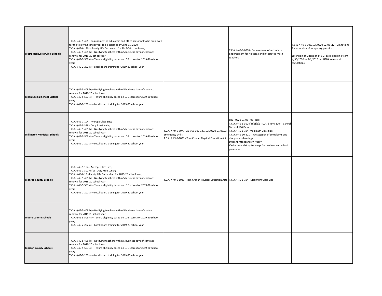| <b>Metro Nashville Public Schools</b> | T.C.A. § 49-5-401 - Requirement of educators and other personnel to be employed<br>for the following school year to be assigned by June 15, 2020;<br>T.C.A. § 49-6-1301 - Family Life Curriculum for 2019-20 school year;<br>T.C.A. § 49-5-409(b) - Notifying teachers within 5 business days of contract<br>renewal for 2019-20 school year;<br>T.C.A. § 49-5-503(4) - Tenure eligibility based on LOE scores for 2019-20 school<br>year;<br>T.C.A. § 49-2-202(a) - Local board training for 2019-20 school year |                                                                                                                                                | T.C.A. § 49-6-6006 - Requirement of secondary<br>endorsement for Algebra I and Integrated Math<br>teachers                                                                                                                                                                                                                                  | T.C.A. § 49-5-106, SBE 0520-02-03-.12 - Limitations<br>for extension of temporary permits.<br>Extension of Extension of CEP cycle deadline from<br>4/30/2020 to 6/1/2020 per USDA rules and<br>regulations |
|---------------------------------------|-------------------------------------------------------------------------------------------------------------------------------------------------------------------------------------------------------------------------------------------------------------------------------------------------------------------------------------------------------------------------------------------------------------------------------------------------------------------------------------------------------------------|------------------------------------------------------------------------------------------------------------------------------------------------|---------------------------------------------------------------------------------------------------------------------------------------------------------------------------------------------------------------------------------------------------------------------------------------------------------------------------------------------|------------------------------------------------------------------------------------------------------------------------------------------------------------------------------------------------------------|
| <b>Milan Special School District</b>  | T.C.A. § 49-5-409(b) - Notifying teachers within 5 business days of contract<br>renewal for 2019-20 school year;<br>T.C.A. § 49-5-503(4) - Tenure eligibility based on LOE scores for 2019-20 school<br>year;<br>T.C.A. § 49-2-202(a) - Local board training for 2019-20 school year                                                                                                                                                                                                                              |                                                                                                                                                |                                                                                                                                                                                                                                                                                                                                             |                                                                                                                                                                                                            |
| <b>Millington Municipal Schools</b>   | T.C.A. § 49-1-104 - Average Class Size;<br>T.C.A. § 49-3-359 - Duty Free Lunch;<br>T.C.A. § 49-5-409(b) - Notifying teachers within 5 business days of contract<br>renewal for 2019-20 school year;<br>T.C.A. § 49-5-503(4) - Tenure eligibility based on LOE scores for 2019-20 school<br>year;<br>T.C.A. § 49-2-202(a) - Local board training for 2019-20 school year                                                                                                                                           | T.C.A. § 49-6-807, TCA § 68-102-137, SBE 0520-01-03.03 -<br><b>Emergency Drills;</b><br>T.C.A. § 49-6-1021 - Tom Cronan Physical Education Act | SBE - 0520-01-03-.03 - RTI;<br>T.C.A. § 49-6-3004(a)(6)(B); T.C.A. § 49-6-3004 - School<br>Term of 180 Days;<br>T.C.A. § 49-1-104- Maximum Class Size<br>T.C.A. § 49-10-601 - Investigation of complaints and<br>due process hearings;<br>Student Attendance Virtually;<br>Various mandatory trainings for teachers and school<br>personnel |                                                                                                                                                                                                            |
| <b>Monroe County Schools</b>          | T.C.A. § 49-1-104 - Average Class Size;<br>T.C.A. § 49-1-302(e)(1) - Duty Free Lunch;<br>T.C.A. § 49-6-13 - Family Life Curriculum for 2019-20 school year;<br>T.C.A. § 49-5-409(b) - Notifying teachers within 5 business days of contract<br>renewal for 2019-20 school year;<br>T.C.A. § 49-5-503(4) - Tenure eligibility based on LOE scores for 2019-20 school<br>year;<br>T.C.A. § 49-2-202(a) - Local board training for 2019-20 school year                                                               | T.C.A. § 49-6-1021 - Tom Cronan Physical Education Act; T.C.A. § 49-1-104 - Maximum Class Size                                                 |                                                                                                                                                                                                                                                                                                                                             |                                                                                                                                                                                                            |
| <b>Moore County Schools</b>           | T.C.A. § 49-5-409(b) - Notifying teachers within 5 business days of contract<br>renewal for 2019-20 school year;<br>T.C.A. § 49-5-503(4) - Tenure eligibility based on LOE scores for 2019-20 school<br>year;<br>T.C.A. § 49-2-202(a) - Local board training for 2019-20 school year                                                                                                                                                                                                                              |                                                                                                                                                |                                                                                                                                                                                                                                                                                                                                             |                                                                                                                                                                                                            |
| <b>Morgan County Schools</b>          | T.C.A. § 49-5-409(b) - Notifying teachers within 5 business days of contract<br>renewal for 2019-20 school year;<br>T.C.A. § 49-5-503(4) - Tenure eligibility based on LOE scores for 2019-20 school<br>year;<br>T.C.A. § 49-2-202(a) - Local board training for 2019-20 school year                                                                                                                                                                                                                              |                                                                                                                                                |                                                                                                                                                                                                                                                                                                                                             |                                                                                                                                                                                                            |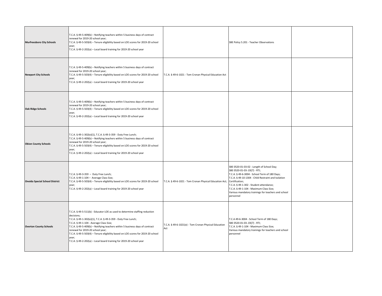| <b>Murfreesboro City Schools</b>      | T.C.A. § 49-5-409(b) - Notifying teachers within 5 business days of contract<br>renewal for 2019-20 school year;<br>T.C.A. § 49-5-503(4) - Tenure eligibility based on LOE scores for 2019-20 school<br>year;<br>T.C.A. § 49-2-202(a) - Local board training for 2019-20 school year                                                                                                                                                                                                          |                                                              | SBE Policy 5.201 - Teacher Observations                                                                                                                                                                                                                                                                                                                       |  |
|---------------------------------------|-----------------------------------------------------------------------------------------------------------------------------------------------------------------------------------------------------------------------------------------------------------------------------------------------------------------------------------------------------------------------------------------------------------------------------------------------------------------------------------------------|--------------------------------------------------------------|---------------------------------------------------------------------------------------------------------------------------------------------------------------------------------------------------------------------------------------------------------------------------------------------------------------------------------------------------------------|--|
| <b>Newport City Schools</b>           | T.C.A. § 49-5-409(b) - Notifying teachers within 5 business days of contract<br>renewal for 2019-20 school year;<br>T.C.A. § 49-5-503(4) - Tenure eligibility based on LOE scores for 2019-20 school<br>year;<br>T.C.A. § 49-2-202(a) - Local board training for 2019-20 school year                                                                                                                                                                                                          | T.C.A. § 49-6-1021 - Tom Cronan Physical Education Act       |                                                                                                                                                                                                                                                                                                                                                               |  |
| <b>Oak Ridge Schools</b>              | T.C.A. § 49-5-409(b) - Notifying teachers within 5 business days of contract<br>renewal for 2019-20 school year;<br>T.C.A. § 49-5-503(4) - Tenure eligibility based on LOE scores for 2019-20 school<br>year;<br>T.C.A. § 49-2-202(a) - Local board training for 2019-20 school year                                                                                                                                                                                                          |                                                              |                                                                                                                                                                                                                                                                                                                                                               |  |
| <b>Obion County Schools</b>           | .C.A. § 49-1-302(e)(1), T.C.A. § 49-3-359 - Duty Free Lunch;<br>T.C.A. § 49-5-409(b) - Notifying teachers within 5 business days of contract<br>renewal for 2019-20 school year;<br>T.C.A. § 49-5-503(4) - Tenure eligibility based on LOE scores for 2019-20 school<br>year;<br>T.C.A. § 49-2-202(a) - Local board training for 2019-20 school year                                                                                                                                          |                                                              |                                                                                                                                                                                                                                                                                                                                                               |  |
| <b>Oneida Special School District</b> | T.C.A. § 49-3-359 - Duty Free Lunch;<br>T.C.A. § 49-1-104 - Average Class Size;<br>T.C.A. § 49-5-503(4) - Tenure eligibility based on LOE scores for 2019-20 school<br>year;<br>T.C.A. § 49-2-202(a) - Local board training for 2019-20 school year                                                                                                                                                                                                                                           | T.C.A. § 49-6-1021 - Tom Cronan Physical Education Act;      | SBE 0520-01-03-02 - Length of School Day;<br>SBE 0520-01-03-.03(7) - RTI;<br>T.C.A. § 49-6-3004 - School Term of 180 Days;<br>T.C.A. § 49-10-1304 - Child Restraint and Isolation<br>Certification;<br>T.C.A. § 49-1-302 - Student attendance;<br>T.C.A. § 49-1-104 - Maximum Class Size;<br>Various mandatory trainings for teachers and school<br>personnel |  |
| <b>Overton County Schools</b>         | T.C.A. § 49-5-511(b) - Educator LOE as used to determine staffing reduction<br>decisions;<br>T.C.A. § 49-1-302(e)(1), T.C.A. § 49-3-359 - Duty Free Lunch;<br>T.C.A. § 49-1-104 - Average Class Size;<br>T.C.A. § 49-5-409(b) - Notifying teachers within 5 business days of contract<br>renewal for 2019-20 school year;<br>T.C.A. § 49-5-503(4) - Tenure eligibility based on LOE scores for 2019-20 school<br>year;<br>T.C.A. § 49-2-202(a) - Local board training for 2019-20 school year | T.C.A. § 49-6-1021(e) - Tom Cronan Physical Education<br>Act | T.C.A 49-6-3004 - School Term of 180 Days;<br>SBE 0520-01-03-.03(7) - RTI;<br>T.C.A. § 49-1-104 - Maximum Class Size;<br>Various mandatory trainings for teachers and school<br>personnel                                                                                                                                                                     |  |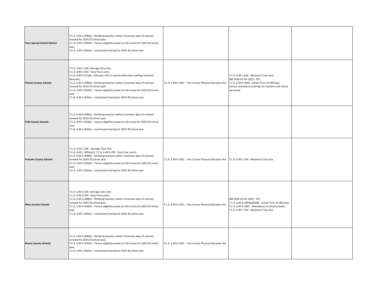| <b>Paris Special School District</b> | T.C.A. § 49-5-409(b) - Notifying teachers within 5 business days of contract<br>renewal for 2019-20 school year;<br>T.C.A. § 49-5-503(4) - Tenure eligibility based on LOE scores for 2019-20 school<br>year;<br>T.C.A. § 49-2-202(a) - Local board training for 2019-20 school year                                                                                                                                                                                |                                                                                                 |                                                                                                                                                                                             |  |
|--------------------------------------|---------------------------------------------------------------------------------------------------------------------------------------------------------------------------------------------------------------------------------------------------------------------------------------------------------------------------------------------------------------------------------------------------------------------------------------------------------------------|-------------------------------------------------------------------------------------------------|---------------------------------------------------------------------------------------------------------------------------------------------------------------------------------------------|--|
| <b>Pickett County Schools</b>        | T.C.A. § 49-1-104- Average Class Size;<br>T.C.A. § 49-3-359 - Duty Free Lunch;<br>T.C.A. § 49-5-511(b) - Educator LOE as used to determine staffing reduction<br>decisions;<br>T.C.A. § 49-5-409(b) - Notifying teachers within 5 business days of contract<br>renewal for 2019-20 school year;<br>T.C.A. § 49-5-503(4) - Tenure eligibility based on LOE scores for 2019-20 school<br>year;<br>T.C.A. § 49-2-202(a) - Local board training for 2019-20 school year | T.C.A. § 49-6-1021 - Tom Cronan Physical Education Act                                          | T.C.A. § 49-1-104 - Maximum Class Size;<br>SBE 0520-01-03-.03(7) - RTI;<br>T.C.A. § 49-6-3004 - School Term of 180 Days<br>Various mandatory trainings for teachers and school<br>personnel |  |
| <b>Polk County Schools</b>           | T.C.A. § 49-5-409(b) - Notifying teachers within 5 business days of contract<br>renewal for 2019-20 school year;<br>T.C.A. § 49-5-503(4) - Tenure eligibility based on LOE scores for 2019-20 school<br>year;<br>T.C.A. § 49-2-202(a) - Local board training for 2019-20 school year                                                                                                                                                                                |                                                                                                 |                                                                                                                                                                                             |  |
| <b>Putnam County Schools</b>         | T.C.A. § 49-1-104 - Average Class Size;<br>T.C.A. § 49-1-302(e)(1), T.C.A. § 49-3-359 - Duty Free Lunch;<br>T.C.A. § 49-5-409(b) - Notifying teachers within 5 business days of contract<br>renewal for 2019-20 school year;<br>T.C.A. § 49-5-503(4) - Tenure eligibility based on LOE scores for 2019-20 school<br>year;<br>T.C.A. § 49-2-202(a) - Local board training for 2019-20 school year                                                                    | T.C.A. § 49-6-1021 - Tom Cronan Physical Education Act   T.C.A. § 49-1-104 - Maximum Class Size |                                                                                                                                                                                             |  |
| <b>Rhea County Schools</b>           | T.C.A. § 49-1-104- Average Class Size;<br>T.C.A. § 49-3-359 - Duty Free Lunch;<br>T.C.A. § 49-5-409(b) - Notifying teachers within 5 business days of contract<br>renewal for 2019-20 school year;<br>T.C.A. § 49-5-503(4) - Tenure eligibility based on LOE scores for 2019-20 school<br>year;<br>T.C.A. § 49-2-202(a) - Local board training for 2019-20 school year                                                                                              | T.C.A. § 49-6-1021 - Tom Cronan Physical Education Act                                          | SBE 0520-01-03-.03(7) - RTI;<br>T.C.A. § 49-6-3004(a)(6)(B) - School Term of 180 days;<br>T.C.A. § 49-6-3001 - Attendance at virtual schools;<br>T.C.A. § 49-1-104 - Maximum Class Size     |  |
| <b>Roane County Schools</b>          | T.C.A. § 49-5-409(b) - Notifying teachers within 5 business days of contract<br>renewal for 2019-20 school year;<br>T.C.A. § 49-5-503(4) - Tenure eligibility based on LOE scores for 2019-20 school<br>year;<br>T.C.A. § 49-2-202(a) - Local board training for 2019-20 school year                                                                                                                                                                                | T.C.A. § 49-6-1021 - Tom Cronan Physical Education Act                                          |                                                                                                                                                                                             |  |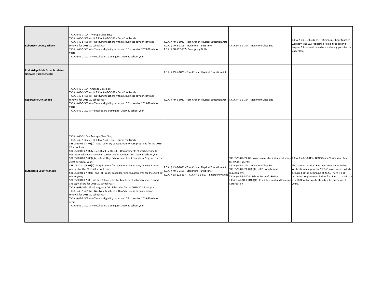| <b>Robertson County Schools</b>                               | T.C.A. § 49-1-104 - Average Class Size;<br>T.C.A. § 49-1-302(e)(1), T.C.A. § 49-3-359 - Duty Free Lunch;<br>T.C.A. § 49-5-409(b) - Notifying teachers within 5 business days of contract<br>renewal for 2019-20 school year;<br>T.C.A. § 49-5-503(4) - Tenure eligibility based on LOE scores for 2019-20 school<br>year;<br>T.C.A. § 49-2-202(a) - Local board training for 2019-20 school year                                                                                                                                                                                                                                                                                                                                                                                                                                                                                                                                                                                                                                                                                                                                                                                                                                    | T.C.A. § 49-6-1021 - Tom Cronan Physical Education Act;<br>T.C.A. § 49-6-2105 - Maximum transit time;<br>T.C.A. § 68-102-137 - Emergency Drills                   | T.C.A. § 49-1-104 - Maximum Class Size                                                                                                                                                                                                                                                                                                                                                                                  | T.C.A. § 49-6-3004 (e)(1) - Minimum 7 hour teacher<br>workday. The LEA requested flexibilty to extend<br>beyond 7 hour workday which is already permissible<br>under law.                                                      |
|---------------------------------------------------------------|-------------------------------------------------------------------------------------------------------------------------------------------------------------------------------------------------------------------------------------------------------------------------------------------------------------------------------------------------------------------------------------------------------------------------------------------------------------------------------------------------------------------------------------------------------------------------------------------------------------------------------------------------------------------------------------------------------------------------------------------------------------------------------------------------------------------------------------------------------------------------------------------------------------------------------------------------------------------------------------------------------------------------------------------------------------------------------------------------------------------------------------------------------------------------------------------------------------------------------------|-------------------------------------------------------------------------------------------------------------------------------------------------------------------|-------------------------------------------------------------------------------------------------------------------------------------------------------------------------------------------------------------------------------------------------------------------------------------------------------------------------------------------------------------------------------------------------------------------------|--------------------------------------------------------------------------------------------------------------------------------------------------------------------------------------------------------------------------------|
| Rocketship Public Schools (Metro<br>Nashville Public Schools) |                                                                                                                                                                                                                                                                                                                                                                                                                                                                                                                                                                                                                                                                                                                                                                                                                                                                                                                                                                                                                                                                                                                                                                                                                                     | T.C.A. § 49-6-1021 - Tom Cronan Physical Education Act                                                                                                            |                                                                                                                                                                                                                                                                                                                                                                                                                         |                                                                                                                                                                                                                                |
| <b>Rogersville City Schools</b>                               | T.C.A. § 49-1-104- Average Class Size;<br>T.C.A. § 49-1-302(e)(1), T.C.A. § 49-3-359 - Duty Free Lunch;<br>T.C.A. § 49-5-409(b) - Notifying teachers within 5 business days of contract<br>renewal for 2019-20 school year;<br>T.C.A. § 49-5-503(4) - Tenure eligibility based on LOE scores for 2019-20 school<br>year;<br>T.C.A. § 49-2-202(a) - Local board training for 2019-20 school year                                                                                                                                                                                                                                                                                                                                                                                                                                                                                                                                                                                                                                                                                                                                                                                                                                     | T.C.A. § 49-6-1021 - Tom Cronan Physical Education Act                                                                                                            | T.C.A. § 49-1-104 - Maximum Class Size                                                                                                                                                                                                                                                                                                                                                                                  |                                                                                                                                                                                                                                |
| <b>Rutherford County Schools</b>                              | T.C.A. § 49-1-104 - Average Class Size;<br>T.C.A. § 49-1-302(e)(1), T.C.A. § 49-3-359 - Duty Free Lunch<br>SBE 0520-01-07-.01(2) - Local advisory consultation for CTE programs for the 2019-<br>20 school year;<br>SBE 0520-02-02-.02(2), SBE 0520-02-02-.06 - Requirements of working time for<br>educators who were receiving career ladder payments for 2019-20 school year;<br>SBE 0520-01-02-.05(2)(a) - Adult High Schools and Adult Education Program for the<br>2019-20 school year;<br>SBE 0520-01-03-03(1) - Requirement for teachers to be on duty at least 7 hours<br>per day for the 2019-20 school year;<br>SBE 0520-01-07-.04(1) and (2) - Work based learning requirements for the 2019-20<br>school year;<br>SBE 0520-01-07-.05 - 40 day, 8 hours/day for teachers of natural resource, food,<br>and agriculture for 2019-20 school year;<br>T.C.A. § 68-102-137 - Emergency Drill Schedules for the 2019-20 school year;<br>T.C.A. § 49-5-409(b) - Notifying teachers within 5 business days of contract<br>renewal for 2019-20 school year;<br>T.C.A. § 49-5-503(4) - Tenure eligibility based on LOE scores for 2019-20 school<br>year;<br>T.C.A. § 49-2-202(a) - Local board training for 2019-20 school year | T.C.A. § 49-6-1021 - Tom Cronan Physical Education Act;<br>T.C.A. § 49-6-2105 - Maximum transit time;<br>T.C.A. § 68-102-137, T.C.A. § 49-6-807 - Emergency Drill | SBE 0520-01-09-.09 - Assessments for initial evaluation T.C.A. § 49-6-6013 - TCAP Online Verification Test.<br>for SPED students:<br>T.C.A. § 49-1-104 - Maximum Class Size<br>SBE 0520-01-09-.07(3)(b) - IEP Homebound<br>requirements<br>T.C.A. § 49-6-3004 - School Term of 180 Days<br>T.C.A. § 49-10-1304(c)(1) - Child Restraint and Isolation in a TCAP online verification test for subsequent<br>Certification | The statue specifies LEAs must conduct an online<br>verification test prior to 2020-21 assessments which<br>occurred at the beginning of 2020. There is not<br>currenty a requirement by law for LEAs to participate<br>years. |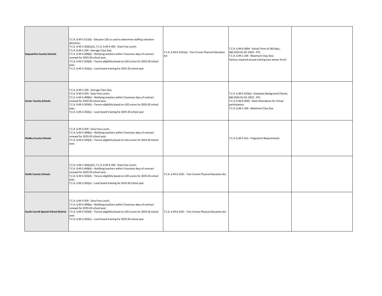| <b>Sequatchie County Schools</b>             | T.C.A. § 49-5-511(b) - Educator LOE as used to determine staffing reduction<br>decisions;<br>T.C.A. § 49-1-302(e)(1), T.C.A. § 49-3-359 - Duty Free Lunch;<br>T.C.A. § 49-1-104 - Average Class Size;<br>T.C.A. § 49-5-409(b) - Notifying teachers within 5 business days of contract<br>renewal for 2019-20 school year;<br>T.C.A. § 49-5-503(4) - Tenure eligibility based on LOE scores for 2019-20 school<br>year;<br>T.C.A. § 49-2-202(a) - Local board training for 2019-20 school year | T.C.A. § 49-6-1021(e) - Tom Cronan Physical Education<br>Act | T.C.A. § 49-6-3004 - School Term of 180 days;<br>SBE 0520-01-03-.03(7) - RTI;<br>T.C.A. § 49-1-104 - Maximum Class Size;<br>Various required annual training (see waiver form)                      |  |
|----------------------------------------------|-----------------------------------------------------------------------------------------------------------------------------------------------------------------------------------------------------------------------------------------------------------------------------------------------------------------------------------------------------------------------------------------------------------------------------------------------------------------------------------------------|--------------------------------------------------------------|-----------------------------------------------------------------------------------------------------------------------------------------------------------------------------------------------------|--|
| <b>Sevier County Schools</b>                 | T.C.A. § 49-1-104 - Average Class Size;<br>T.C.A. § 49-3-359 - Duty Free Lunch;<br>T.C.A. § 49-5-409(b) - Notifying teachers within 5 business days of contract<br>renewal for 2019-20 school year;<br>T.C.A. § 49-5-503(4) - Tenure eligibility based on LOE scores for 2019-20 school<br>year;<br>T.C.A. § 49-2-202(a) - Local board training for 2019-20 school year                                                                                                                       |                                                              | T.C.A. § 49-5-413(a) - Employee Background Checks;<br>SBE 0520-01-03-.03(7) - RTI;<br>T.C.A. § 49-6-3002 - State Attendance for Virtual<br>participation;<br>T.C.A. § 49-1-104 - Maximum Class Size |  |
| <b>Shelby County Schools</b>                 | T.C.A. § 49-3-359 - Duty Free Lunch;<br>T.C.A. § 49-5-409(b) - Notifying teachers within 5 business days of contract<br>renewal for 2019-20 school year;<br>T.C.A. § 49-5-503(4) - Tenure eligibility based on LOE scores for 2019-20 school<br>year;                                                                                                                                                                                                                                         |                                                              | T.C.A. § 49-5-413 - Fingerprint Requirements                                                                                                                                                        |  |
| <b>Smith County Schools</b>                  | T.C.A. § 49-1-302(e)(1), T.C.A. § 49-3-359 - Duty Free Lunch;<br>T.C.A. § 49-5-409(b) - Notifying teachers within 5 business days of contract<br>renewal for 2019-20 school year;<br>T.C.A. § 49-5-503(4) - Tenure eligibility based on LOE scores for 2019-20 school<br>year;<br>T.C.A. § 49-2-202(a) - Local board training for 2019-20 school year                                                                                                                                         | T.C.A. § 49-6-1021 - Tom Cronan Physical Education Act       |                                                                                                                                                                                                     |  |
| <b>South Carroll Special School District</b> | T.C.A. § 49-3-359 - Duty Free Lunch;<br>T.C.A. § 49-5-409(b) - Notifying teachers within 5 business days of contract<br>renewal for 2019-20 school year;<br>T.C.A. § 49-5-503(4) - Tenure eligibility based on LOE scores for 2019-20 school<br>year;<br>T.C.A. § 49-2-202(a) - Local board training for 2019-20 school year                                                                                                                                                                  | T.C.A. § 49-6-1021 - Tom Cronan Physical Education Act       |                                                                                                                                                                                                     |  |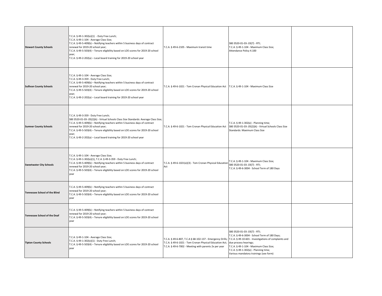| <b>Stewart County Schools</b>        | T.C.A. § 49-1-302(e)(1) - Duty Free Lunch;<br>T.C.A. § 49-1-104 - Average Class Size;<br>T.C.A. § 49-5-409(b) - Notifying teachers within 5 business days of contract<br>renewal for 2019-20 school year;<br>T.C.A. § 49-5-503(4) - Tenure eligibility based on LOE scores for 2019-20 school<br>year;<br>T.C.A. § 49-2-202(a) - Local board training for 2019-20 school year                                        | T.C.A. § 49-6-2105 - Maximum transit time                                                                                                                                     | SBE 0520-01-03-.03(7) - RTI;<br>T.C.A. § 49-1-104 - Maximum Class Size;<br>Attendance Policy 4.100                                                                                                                                                                                            |  |
|--------------------------------------|----------------------------------------------------------------------------------------------------------------------------------------------------------------------------------------------------------------------------------------------------------------------------------------------------------------------------------------------------------------------------------------------------------------------|-------------------------------------------------------------------------------------------------------------------------------------------------------------------------------|-----------------------------------------------------------------------------------------------------------------------------------------------------------------------------------------------------------------------------------------------------------------------------------------------|--|
| <b>Sullivan County Schools</b>       | T.C.A. § 49-1-104 - Average Class Size;<br>T.C.A. § 49-3-359 - Duty Free Lunch;<br>T.C.A. § 49-5-409(b) - Notifying teachers within 5 business days of contract<br>renewal for 2019-20 school year;<br>T.C.A. § 49-5-503(4) - Tenure eligibility based on LOE scores for 2019-20 school<br>year;<br>T.C.A. § 49-2-202(a) - Local board training for 2019-20 school year                                              | T.C.A. § 49-6-1021 - Tom Cronan Physical Education Act                                                                                                                        | T.C.A. § 49-1-104 - Maximum Class Size                                                                                                                                                                                                                                                        |  |
| <b>Sumner County Schools</b>         | T.C.A. § 49-3-359 - Duty Free Lunch;<br>SBE 0520-01-03-.05(2)(k) - Virtual Schools Class Size Standards: Average Class Size;<br>T.C.A. § 49-5-409(b) - Notifying teachers within 5 business days of contract<br>renewal for 2019-20 school year;<br>T.C.A. § 49-5-503(4) - Tenure eligibility based on LOE scores for 2019-20 school<br>year;<br>T.C.A. § 49-2-202(a) - Local board training for 2019-20 school year | T.C.A. § 49-6-1021 - Tom Cronan Physical Education Act                                                                                                                        | T.C.A. § 49-1-302(e) - Planning time;<br>SBE 0520-01-03-.05(2)(k) - Virtual Schools Class Size<br>Standards: Maximum Class Size                                                                                                                                                               |  |
| <b>Sweetwater City Schools</b>       | T.C.A. § 49-1-104 - Average Class Size;<br>T.C.A. § 49-1-302(e)(1), T.C.A. § 49-3-359 - Duty Free Lunch;<br>T.C.A. § 49-5-409(b) - Notifying teachers within 5 business days of contract<br>renewal for 2019-20 school year;<br>T.C.A. § 49-5-503(4) - Tenure eligibility based on LOE scores for 2019-20 school<br>year                                                                                             | T.C.A. § 49-6-1021(e)(3) - Tom Cronan Physical Education<br>Act                                                                                                               | T.C.A. § 49-1-104 - Maximum Class Size;<br>SBE 0520-01-03-.03(7) - RTI;<br>T.C.A. § 49-6-3004 - School Term of 180 Days                                                                                                                                                                       |  |
| <b>Tennessee School of the Blind</b> | T.C.A. § 49-5-409(b) - Notifying teachers within 5 business days of contract<br>renewal for 2019-20 school year;<br>T.C.A. § 49-5-503(4) - Tenure eligibility based on LOE scores for 2019-20 school<br>year                                                                                                                                                                                                         |                                                                                                                                                                               |                                                                                                                                                                                                                                                                                               |  |
| <b>Tennessee School of the Deaf</b>  | T.C.A. § 49-5-409(b) - Notifying teachers within 5 business days of contract<br>renewal for 2019-20 school year;<br>T.C.A. § 49-5-503(4) - Tenure eligibility based on LOE scores for 2019-20 school<br>year                                                                                                                                                                                                         |                                                                                                                                                                               |                                                                                                                                                                                                                                                                                               |  |
| <b>Tipton County Schools</b>         | T.C.A. § 49-1-104 - Average Class Size;<br>T.C.A. § 49-1-302(e)(1) - Duty Free Lunch;<br>T.C.A. § 49-5-503(4) - Tenure eligibility based on LOE scores for 2019-20 school<br>year                                                                                                                                                                                                                                    | T.C.A. § 49-6-807, T.C.A § 68-102-137 - Emergency Drills;<br>T.C.A. § 49-6-1021 - Tom Cronan Physical Education Act;<br>T.C.A. § 49-6-7002 - Meeting with parents 2x per year | SBE 0520-01-03-.03(7) - RTI;<br>T.C.A. § 49-6-3004 - School Term of 180 Days;<br>T.C.A. § 49-10-601 - Investigations of complaints and<br>due process hearings;<br>T.C.A. § 49-1-104 - Maximum Class Size;<br>T.C.A. § 49-1-302(e) - Planning time;<br>Various mandatory trainings (see form) |  |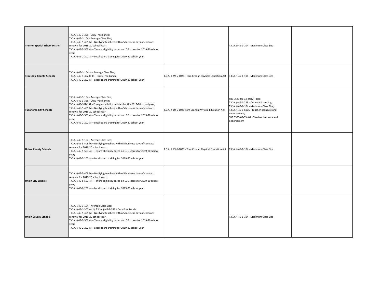| <b>Trenton Special School District</b> | T.C.A. § 49-3-359 - Duty Free Lunch;<br>T.C.A. § 49-1-104 - Average Class Size;<br>T.C.A. § 49-5-409(b) - Notifying teachers within 5 business days of contract<br>renewal for 2019-20 school year;<br>T.C.A. § 49-5-503(4) - Tenure eligibility based on LOE scores for 2019-20 school<br>year;<br>T.C.A. § 49-2-202(a) - Local board training for 2019-20 school year                                                                                 |                                                                                                 | T.C.A. § 49-1-104 - Maximum Class Size                                                                                                                                                                                                        |  |
|----------------------------------------|---------------------------------------------------------------------------------------------------------------------------------------------------------------------------------------------------------------------------------------------------------------------------------------------------------------------------------------------------------------------------------------------------------------------------------------------------------|-------------------------------------------------------------------------------------------------|-----------------------------------------------------------------------------------------------------------------------------------------------------------------------------------------------------------------------------------------------|--|
| <b>Trousdale County Schools</b>        | T.C.A. § 49-1-104(a) - Average Class Size;<br>T.C.A. § 49-1-302 (e)(1) - Duty Free Lunch;<br>T.C.A. § 49-2-202(a) - Local board training for 2019-20 school year                                                                                                                                                                                                                                                                                        | T.C.A. § 49-6-1021 - Tom Cronan Physical Education Act                                          | T.C.A. § 49-1-104 - Maximum Class Size                                                                                                                                                                                                        |  |
| <b>Tullahoma City Schools</b>          | T.C.A. § 49-1-104 - Average Class Size;<br>T.C.A. § 49-3-359 - Duty Free Lunch;<br>T.C.A. § 68-102-137 - Emergency drill schedules for the 2019-20 school year;<br>T.C.A. § 49-5-409(b) - Notifying teachers within 5 business days of contract<br>renewal for 2019-20 school year;<br>T.C.A. § 49-5-503(4) - Tenure eligibility based on LOE scores for 2019-20 school<br>year;<br>T.C.A. § 49-2-202(a) - Local board training for 2019-20 school year | T.C.A. § 10-6-1021 Tom Cronan Physical Education Act                                            | SBE 0520-01-03-.03(7) - RTI;<br>T.C.A. § 49-1-229 - Dyslexia Screening;<br>T.C.A. § 49-1-104 - Maximum Class Size;<br>T.C.A. § 49-6-6006 - Teacher licensure and<br>endorsement;<br>SBE 0520-02-03-.01 - Teacher licensure and<br>endorsement |  |
| <b>Unicoi County Schools</b>           | T.C.A. § 49-1-104 - Average Class Size;<br>T.C.A. § 49-5-409(b) - Notifying teachers within 5 business days of contract<br>renewal for 2019-20 school year;<br>T.C.A. § 49-5-503(4) - Tenure eligibility based on LOE scores for 2019-20 school<br>year;<br>T.C.A. § 49-2-202(a) - Local board training for 2019-20 school year                                                                                                                         | T.C.A. § 49-6-1021 - Tom Cronan Physical Education Act   T.C.A. § 49-1-104 - Maximum Class Size |                                                                                                                                                                                                                                               |  |
| <b>Union City Schools</b>              | T.C.A. § 49-5-409(b) - Notifying teachers within 5 business days of contract<br>renewal for 2019-20 school year;<br>T.C.A. § 49-5-503(4) - Tenure eligibility based on LOE scores for 2019-20 school<br>year;<br>T.C.A. § 49-2-202(a) - Local board training for 2019-20 school year                                                                                                                                                                    |                                                                                                 |                                                                                                                                                                                                                                               |  |
| <b>Union County Schools</b>            | T.C.A. § 49-1-104 - Average Class Size;<br>T.C.A. § 49-1-302(e)(1), T.C.A. § 49-3-359 - Duty Free Lunch;<br>T.C.A. § 49-5-409(b) - Notifying teachers within 5 business days of contract<br>renewal for 2019-20 school year;<br>T.C.A. § 49-5-503(4) - Tenure eligibility based on LOE scores for 2019-20 school<br>year;<br>T.C.A. § 49-2-202(a) - Local board training for 2019-20 school year                                                        |                                                                                                 | T.C.A. § 49-1-104 - Maximum Class Size                                                                                                                                                                                                        |  |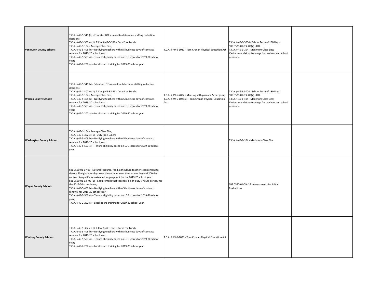| <b>Van Buren County Schools</b>  | T.C.A. § 49-5-511 (b) - Educator LOE as used to determine staffing reduction<br>decisions;<br>T.C.A. § 49-1-302(e)(1), T.C.A. § 49-3-359 - Duty Free Lunch;<br>T.C.A. § 49-1-104 - Average Class Size;<br>T.C.A. § 49-5-409(b) - Notifying teachers within 5 business days of contract<br>renewal for 2019-20 school year;<br>T.C.A. § 49-5-503(4) - Tenure eligibility based on LOE scores for 2019-20 school<br>year;<br>T.C.A. § 49-2-202(a) - Local board training for 2019-20 school year                                                                                                                                                  | T.C.A. § 49-6-1021 - Tom Cronan Physical Education Act                                                                 | T.C.A. § 49-6-3004 - School Term of 180 Days;<br>SBE 0520-01-03-.03(7) - RTI;<br>T.C.A. § 49-1-104 - Maximum Class Size;<br>Various mandatory trainings for teachers and school<br>personnel |  |
|----------------------------------|-------------------------------------------------------------------------------------------------------------------------------------------------------------------------------------------------------------------------------------------------------------------------------------------------------------------------------------------------------------------------------------------------------------------------------------------------------------------------------------------------------------------------------------------------------------------------------------------------------------------------------------------------|------------------------------------------------------------------------------------------------------------------------|----------------------------------------------------------------------------------------------------------------------------------------------------------------------------------------------|--|
| <b>Warren County Schools</b>     | T.C.A. § 49-5-511(b) - Educator LOE as used to determine staffing reduction<br>decisions:<br>T.C.A. § 49-1-302(e)(1), T.C.A. § 49-3-359 - Duty Free Lunch;<br>T.C.A. § 49-1-104 - Average Class Size;<br>T.C.A. § 49-5-409(b) - Notifying teachers within 5 business days of contract<br>renewal for 2019-20 school year;<br>T.C.A. § 49-5-503(4) - Tenure eligibility based on LOE scores for 2019-20 school<br>year;<br>T.C.A. § 49-2-202(a) - Local board training for 2019-20 school year                                                                                                                                                   | T.C.A. § 49-6-7002 - Meeting with parents 2x per year;<br>T.C.A. § 49-6-1021(e) - Tom Cronan Physical Education<br>Act | T.C.A. § 49-6-3004 - School Term of 180 Days;<br>SBE 0520-01-03-.03(7) - RTI;<br>T.C.A. § 49-1-104 - Maximum Class Size;<br>Various mandatory trainings for teachers and school<br>personnel |  |
| <b>Washington County Schools</b> | T.C.A. § 49-1-104 - Average Class Size;<br>T.C.A. § 49-1-302(e)(1) - Duty Free Lunch;<br>T.C.A. § 49-5-409(b) - Notifying teachers within 5 business days of contract<br>renewal for 2019-20 school year;<br>T.C.A. § 49-5-503(4) - Tenure eligibility based on LOE scores for 2019-20 school<br>year                                                                                                                                                                                                                                                                                                                                           |                                                                                                                        | T.C.A. § 49-1-104 - Maximum Class Size                                                                                                                                                       |  |
| <b>Wayne County Schools</b>      | SBE 0520-01-07.05 - Natural resource, food, agriculture teacher requirement to<br>devote 40 eight hour days over the summer over the summer beyond 200-day<br>contract to qualify for extended employment for the 2019-20 school year;<br>SBE 0520-01-03-.03 (1) - Requirement that teachers be on duty 7 hours per day for<br>the 2019-20 school year;<br>T.C.A. § 49-5-409(b) - Notifying teachers within 5 business days of contract<br>renewal for 2019-20 school year;<br>T.C.A. § 49-5-503(4) - Tenure eligibility based on LOE scores for 2019-20 school<br>year;<br>T.C.A. § 49-2-202(a) - Local board training for 2019-20 school year |                                                                                                                        | SBE 0520-01-09-.24 - Assessments for Initial<br>Evaluations                                                                                                                                  |  |
| <b>Weakley County Schools</b>    | T.C.A. § 49-1-302(e)(1), T.C.A. § 49-3-359 - Duty Free Lunch;<br>T.C.A. § 49-5-409(b) - Notifying teachers within 5 business days of contract<br>renewal for 2019-20 school year;<br>T.C.A. § 49-5-503(4) - Tenure eligibility based on LOE scores for 2019-20 school<br>year;<br>T.C.A. § 49-2-202(a) - Local board training for 2019-20 school year                                                                                                                                                                                                                                                                                           | T.C.A. § 49-6-1021 - Tom Cronan Physical Education Act                                                                 |                                                                                                                                                                                              |  |